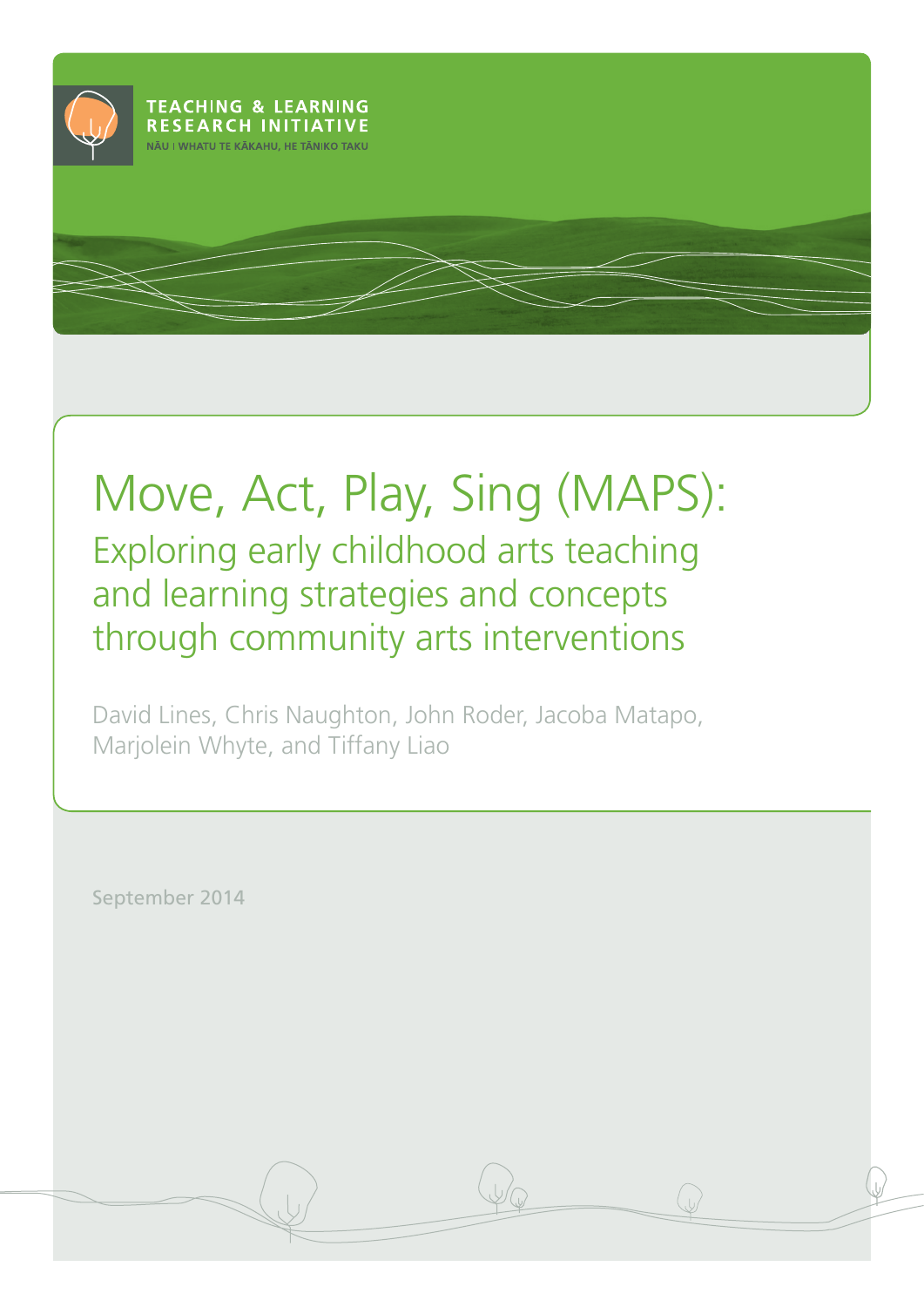

# Move, Act, Play, Sing (MAPS): Exploring early childhood arts teaching

and learning strategies and concepts through community arts interventions

David Lines, Chris Naughton, John Roder, Jacoba Matapo, Marjolein Whyte, and Tiffany Liao

September 2014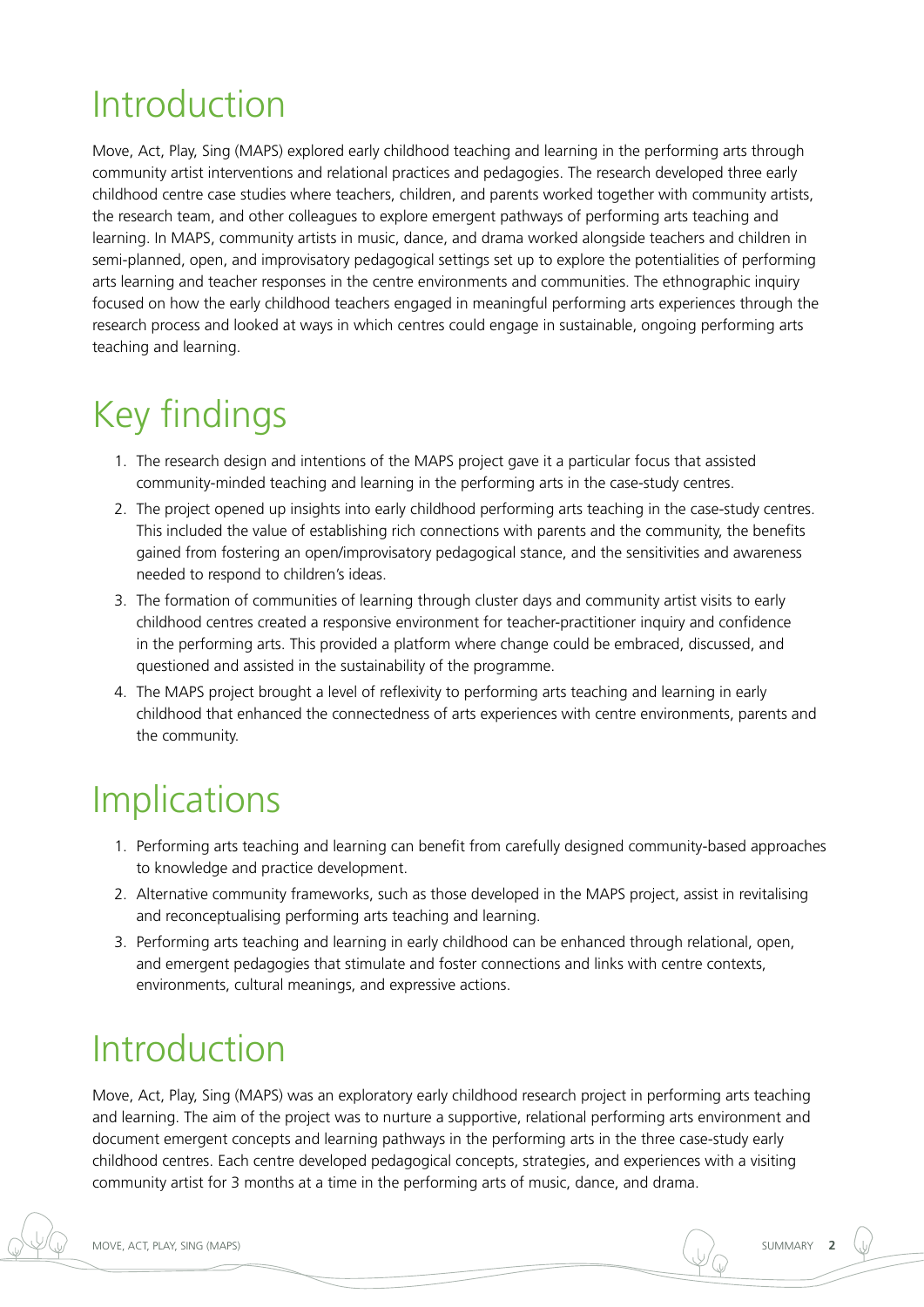# Introduction

Move, Act, Play, Sing (MAPS) explored early childhood teaching and learning in the performing arts through community artist interventions and relational practices and pedagogies. The research developed three early childhood centre case studies where teachers, children, and parents worked together with community artists, the research team, and other colleagues to explore emergent pathways of performing arts teaching and learning. In MAPS, community artists in music, dance, and drama worked alongside teachers and children in semi-planned, open, and improvisatory pedagogical settings set up to explore the potentialities of performing arts learning and teacher responses in the centre environments and communities. The ethnographic inquiry focused on how the early childhood teachers engaged in meaningful performing arts experiences through the research process and looked at ways in which centres could engage in sustainable, ongoing performing arts teaching and learning.

# Key findings

- 1. The research design and intentions of the MAPS project gave it a particular focus that assisted community-minded teaching and learning in the performing arts in the case-study centres.
- 2. The project opened up insights into early childhood performing arts teaching in the case-study centres. This included the value of establishing rich connections with parents and the community, the benefits gained from fostering an open/improvisatory pedagogical stance, and the sensitivities and awareness needed to respond to children's ideas.
- 3. The formation of communities of learning through cluster days and community artist visits to early childhood centres created a responsive environment for teacher-practitioner inquiry and confidence in the performing arts. This provided a platform where change could be embraced, discussed, and questioned and assisted in the sustainability of the programme.
- 4. The MAPS project brought a level of reflexivity to performing arts teaching and learning in early childhood that enhanced the connectedness of arts experiences with centre environments, parents and the community.

# **Implications**

- 1. Performing arts teaching and learning can benefit from carefully designed community-based approaches to knowledge and practice development.
- 2. Alternative community frameworks, such as those developed in the MAPS project, assist in revitalising and reconceptualising performing arts teaching and learning.
- 3. Performing arts teaching and learning in early childhood can be enhanced through relational, open, and emergent pedagogies that stimulate and foster connections and links with centre contexts, environments, cultural meanings, and expressive actions.

# Introduction

Move, Act, Play, Sing (MAPS) was an exploratory early childhood research project in performing arts teaching and learning. The aim of the project was to nurture a supportive, relational performing arts environment and document emergent concepts and learning pathways in the performing arts in the three case-study early childhood centres. Each centre developed pedagogical concepts, strategies, and experiences with a visiting community artist for 3 months at a time in the performing arts of music, dance, and drama.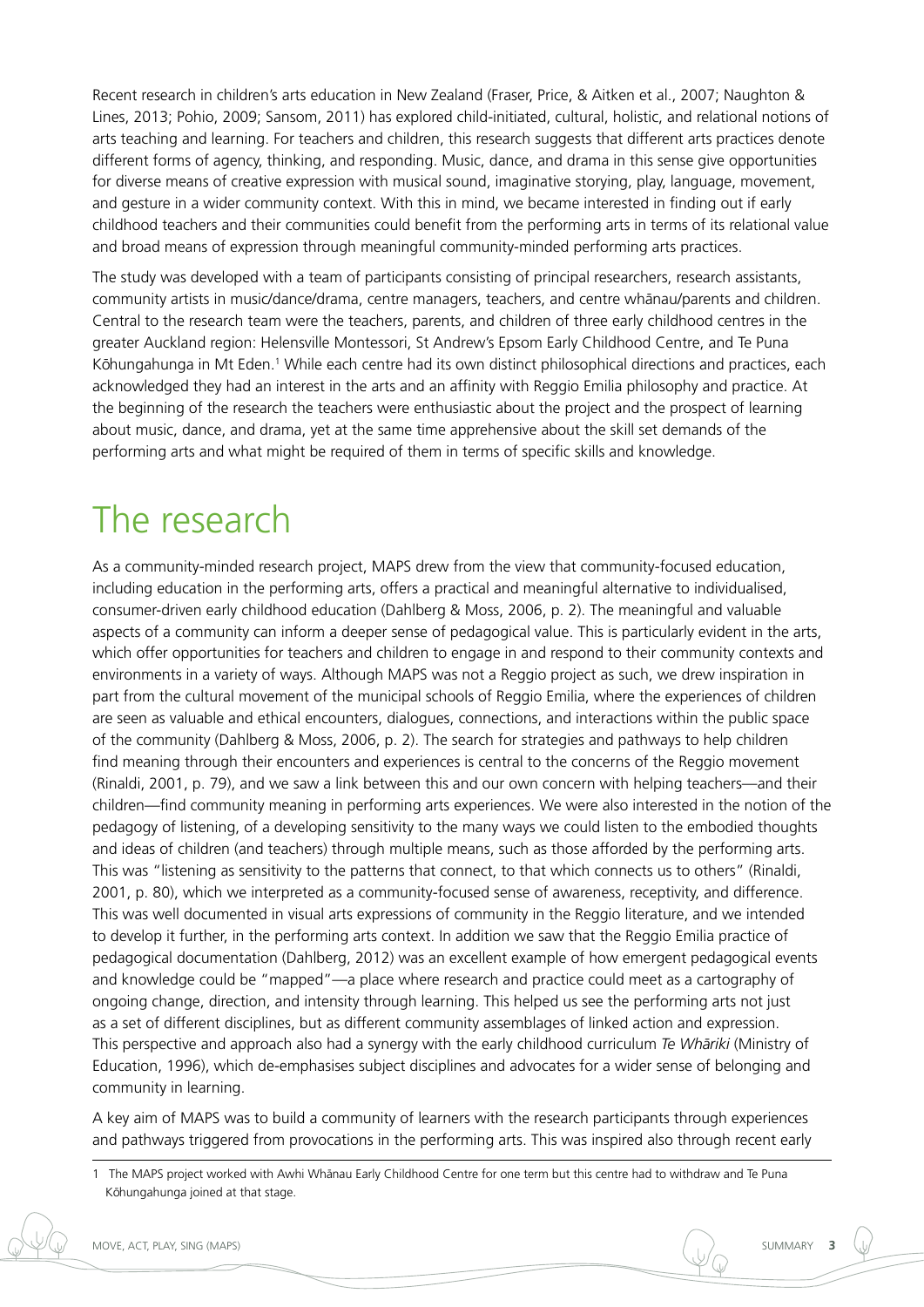Recent research in children's arts education in New Zealand (Fraser, Price, & Aitken et al., 2007; Naughton & Lines, 2013; Pohio, 2009; Sansom, 2011) has explored child-initiated, cultural, holistic, and relational notions of arts teaching and learning. For teachers and children, this research suggests that different arts practices denote different forms of agency, thinking, and responding. Music, dance, and drama in this sense give opportunities for diverse means of creative expression with musical sound, imaginative storying, play, language, movement, and gesture in a wider community context. With this in mind, we became interested in finding out if early childhood teachers and their communities could benefit from the performing arts in terms of its relational value and broad means of expression through meaningful community-minded performing arts practices.

The study was developed with a team of participants consisting of principal researchers, research assistants, community artists in music/dance/drama, centre managers, teachers, and centre whanau/parents and children. Central to the research team were the teachers, parents, and children of three early childhood centres in the greater Auckland region: Helensville Montessori, St Andrew's Epsom Early Childhood Centre, and Te Puna Kōhungahunga in Mt Eden.<sup>1</sup> While each centre had its own distinct philosophical directions and practices, each acknowledged they had an interest in the arts and an affinity with Reggio Emilia philosophy and practice. At the beginning of the research the teachers were enthusiastic about the project and the prospect of learning about music, dance, and drama, yet at the same time apprehensive about the skill set demands of the performing arts and what might be required of them in terms of specific skills and knowledge.

# The research

As a community-minded research project, MAPS drew from the view that community-focused education, including education in the performing arts, offers a practical and meaningful alternative to individualised, consumer-driven early childhood education (Dahlberg & Moss, 2006, p. 2). The meaningful and valuable aspects of a community can inform a deeper sense of pedagogical value. This is particularly evident in the arts, which offer opportunities for teachers and children to engage in and respond to their community contexts and environments in a variety of ways. Although MAPS was not a Reggio project as such, we drew inspiration in part from the cultural movement of the municipal schools of Reggio Emilia, where the experiences of children are seen as valuable and ethical encounters, dialogues, connections, and interactions within the public space of the community (Dahlberg & Moss, 2006, p. 2). The search for strategies and pathways to help children find meaning through their encounters and experiences is central to the concerns of the Reggio movement (Rinaldi, 2001, p. 79), and we saw a link between this and our own concern with helping teachers—and their children—find community meaning in performing arts experiences. We were also interested in the notion of the pedagogy of listening, of a developing sensitivity to the many ways we could listen to the embodied thoughts and ideas of children (and teachers) through multiple means, such as those afforded by the performing arts. This was "listening as sensitivity to the patterns that connect, to that which connects us to others" (Rinaldi, 2001, p. 80), which we interpreted as a community-focused sense of awareness, receptivity, and difference. This was well documented in visual arts expressions of community in the Reggio literature, and we intended to develop it further, in the performing arts context. In addition we saw that the Reggio Emilia practice of pedagogical documentation (Dahlberg, 2012) was an excellent example of how emergent pedagogical events and knowledge could be "mapped"—a place where research and practice could meet as a cartography of ongoing change, direction, and intensity through learning. This helped us see the performing arts not just as a set of different disciplines, but as different community assemblages of linked action and expression. This perspective and approach also had a synergy with the early childhood curriculum *Te Whāriki* (Ministry of Education, 1996), which de-emphasises subject disciplines and advocates for a wider sense of belonging and community in learning.

A key aim of MAPS was to build a community of learners with the research participants through experiences and pathways triggered from provocations in the performing arts. This was inspired also through recent early

<sup>1</sup> The MAPS project worked with Awhi Whānau Early Childhood Centre for one term but this centre had to withdraw and Te Puna Kōhungahunga joined at that stage.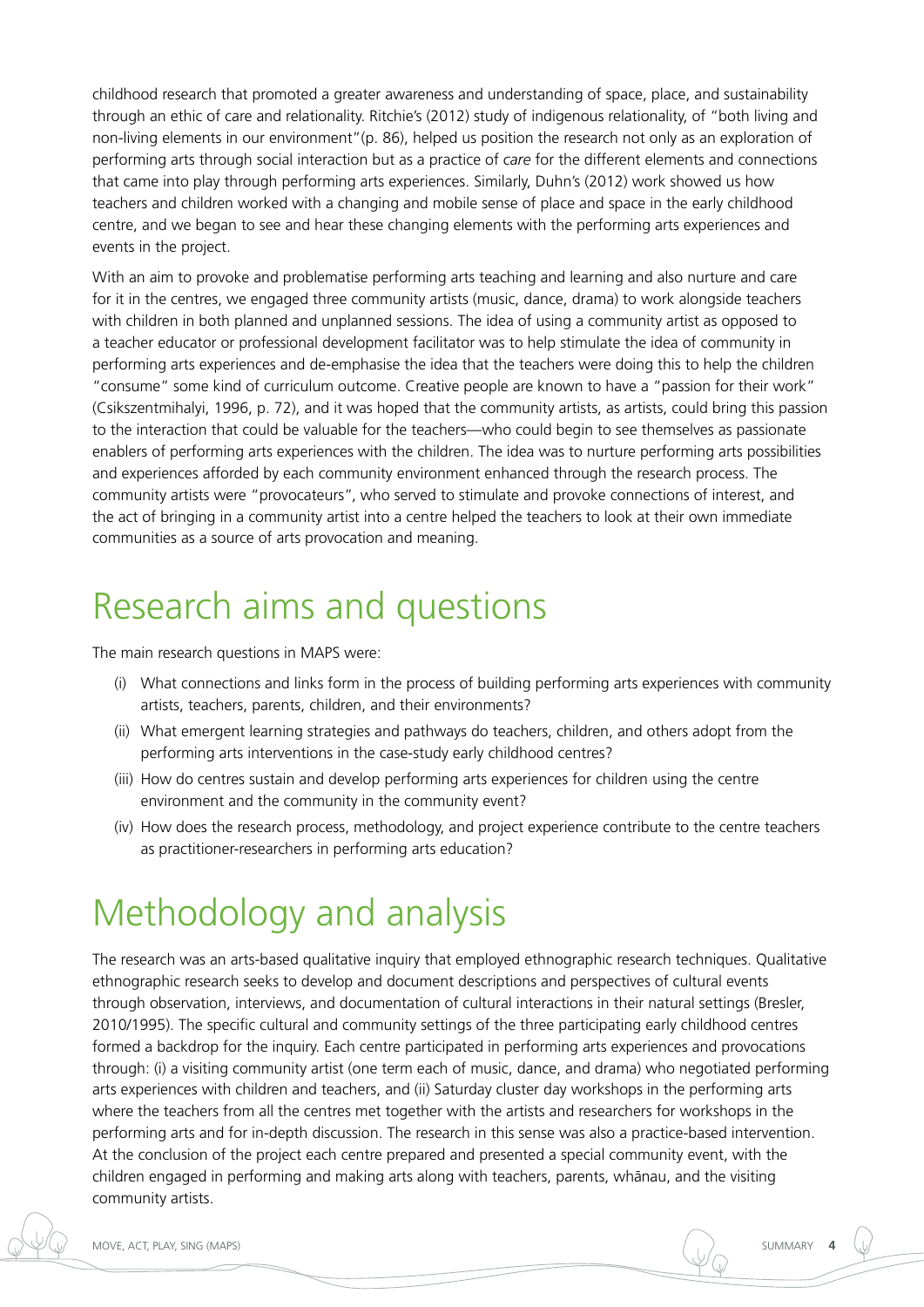childhood research that promoted a greater awareness and understanding of space, place, and sustainability through an ethic of care and relationality. Ritchie's (2012) study of indigenous relationality, of "both living and non-living elements in our environment"(p. 86), helped us position the research not only as an exploration of performing arts through social interaction but as a practice of *care* for the different elements and connections that came into play through performing arts experiences. Similarly, Duhn's (2012) work showed us how teachers and children worked with a changing and mobile sense of place and space in the early childhood centre, and we began to see and hear these changing elements with the performing arts experiences and events in the project.

With an aim to provoke and problematise performing arts teaching and learning and also nurture and care for it in the centres, we engaged three community artists (music, dance, drama) to work alongside teachers with children in both planned and unplanned sessions. The idea of using a community artist as opposed to a teacher educator or professional development facilitator was to help stimulate the idea of community in performing arts experiences and de-emphasise the idea that the teachers were doing this to help the children "consume" some kind of curriculum outcome. Creative people are known to have a "passion for their work" (Csikszentmihalyi, 1996, p. 72), and it was hoped that the community artists, as artists, could bring this passion to the interaction that could be valuable for the teachers—who could begin to see themselves as passionate enablers of performing arts experiences with the children. The idea was to nurture performing arts possibilities and experiences afforded by each community environment enhanced through the research process. The community artists were "provocateurs", who served to stimulate and provoke connections of interest, and the act of bringing in a community artist into a centre helped the teachers to look at their own immediate communities as a source of arts provocation and meaning.

## Research aims and questions

The main research questions in MAPS were:

- (i) What connections and links form in the process of building performing arts experiences with community artists, teachers, parents, children, and their environments?
- (ii) What emergent learning strategies and pathways do teachers, children, and others adopt from the performing arts interventions in the case-study early childhood centres?
- (iii) How do centres sustain and develop performing arts experiences for children using the centre environment and the community in the community event?
- (iv) How does the research process, methodology, and project experience contribute to the centre teachers as practitioner-researchers in performing arts education?

## Methodology and analysis

The research was an arts-based qualitative inquiry that employed ethnographic research techniques. Qualitative ethnographic research seeks to develop and document descriptions and perspectives of cultural events through observation, interviews, and documentation of cultural interactions in their natural settings (Bresler, 2010/1995). The specific cultural and community settings of the three participating early childhood centres formed a backdrop for the inquiry. Each centre participated in performing arts experiences and provocations through: (i) a visiting community artist (one term each of music, dance, and drama) who negotiated performing arts experiences with children and teachers, and (ii) Saturday cluster day workshops in the performing arts where the teachers from all the centres met together with the artists and researchers for workshops in the performing arts and for in-depth discussion. The research in this sense was also a practice-based intervention. At the conclusion of the project each centre prepared and presented a special community event, with the children engaged in performing and making arts along with teachers, parents, whānau, and the visiting community artists.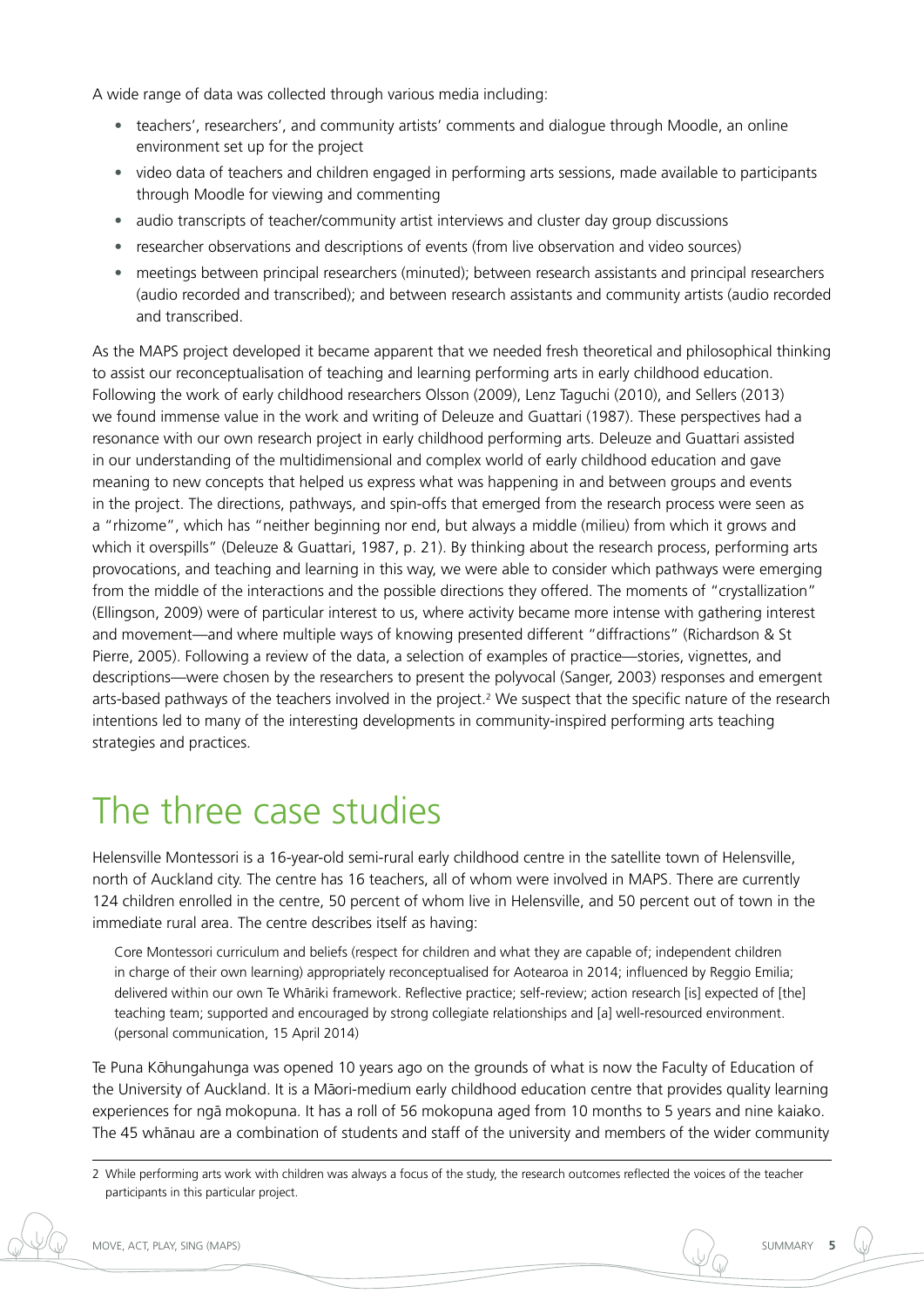A wide range of data was collected through various media including:

- teachers', researchers', and community artists' comments and dialogue through Moodle, an online environment set up for the project
- video data of teachers and children engaged in performing arts sessions, made available to participants through Moodle for viewing and commenting
- audio transcripts of teacher/community artist interviews and cluster day group discussions
- researcher observations and descriptions of events (from live observation and video sources)
- meetings between principal researchers (minuted); between research assistants and principal researchers (audio recorded and transcribed); and between research assistants and community artists (audio recorded and transcribed.

As the MAPS project developed it became apparent that we needed fresh theoretical and philosophical thinking to assist our reconceptualisation of teaching and learning performing arts in early childhood education. Following the work of early childhood researchers Olsson (2009), Lenz Taguchi (2010), and Sellers (2013) we found immense value in the work and writing of Deleuze and Guattari (1987). These perspectives had a resonance with our own research project in early childhood performing arts. Deleuze and Guattari assisted in our understanding of the multidimensional and complex world of early childhood education and gave meaning to new concepts that helped us express what was happening in and between groups and events in the project. The directions, pathways, and spin-offs that emerged from the research process were seen as a "rhizome", which has "neither beginning nor end, but always a middle (milieu) from which it grows and which it overspills" (Deleuze & Guattari, 1987, p. 21). By thinking about the research process, performing arts provocations, and teaching and learning in this way, we were able to consider which pathways were emerging from the middle of the interactions and the possible directions they offered. The moments of "crystallization" (Ellingson, 2009) were of particular interest to us, where activity became more intense with gathering interest and movement—and where multiple ways of knowing presented different "diffractions" (Richardson & St Pierre, 2005). Following a review of the data, a selection of examples of practice—stories, vignettes, and descriptions—were chosen by the researchers to present the polyvocal (Sanger, 2003) responses and emergent arts-based pathways of the teachers involved in the project.<sup>2</sup> We suspect that the specific nature of the research intentions led to many of the interesting developments in community-inspired performing arts teaching strategies and practices.

## The three case studies

Helensville Montessori is a 16-year-old semi-rural early childhood centre in the satellite town of Helensville, north of Auckland city. The centre has 16 teachers, all of whom were involved in MAPS. There are currently 124 children enrolled in the centre, 50 percent of whom live in Helensville, and 50 percent out of town in the immediate rural area. The centre describes itself as having:

Core Montessori curriculum and beliefs (respect for children and what they are capable of; independent children in charge of their own learning) appropriately reconceptualised for Aotearoa in 2014; influenced by Reggio Emilia; delivered within our own Te Whāriki framework. Reflective practice; self-review; action research [is] expected of [the] teaching team; supported and encouraged by strong collegiate relationships and [a] well-resourced environment. (personal communication, 15 April 2014)

Te Puna Kōhungahunga was opened 10 years ago on the grounds of what is now the Faculty of Education of the University of Auckland. It is a Māori-medium early childhood education centre that provides quality learning experiences for ngā mokopuna. It has a roll of 56 mokopuna aged from 10 months to 5 years and nine kaiako. The 45 whanau are a combination of students and staff of the university and members of the wider community

<sup>2</sup> While performing arts work with children was always a focus of the study, the research outcomes reflected the voices of the teacher participants in this particular project.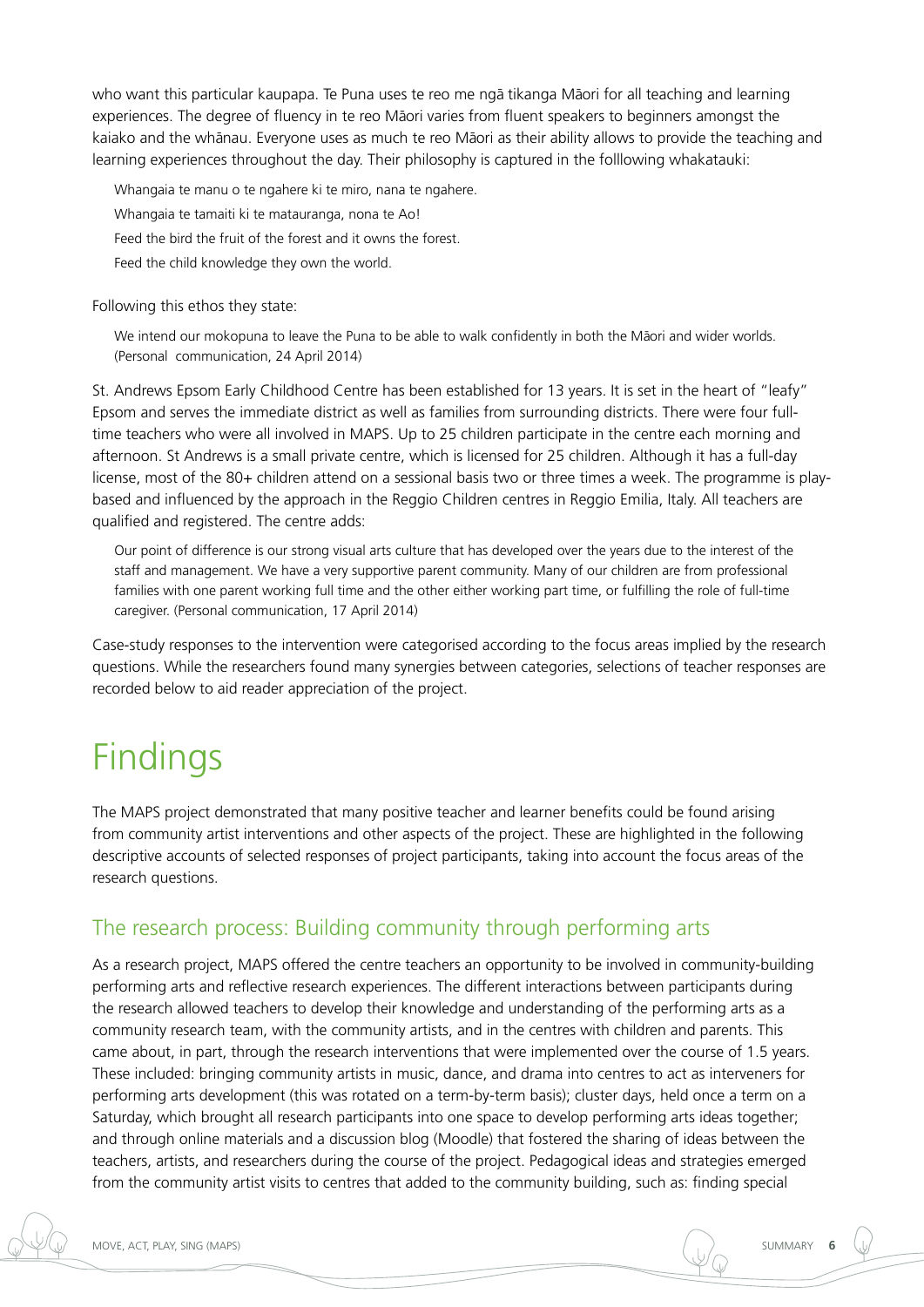who want this particular kaupapa. Te Puna uses te reo me ngā tikanga Māori for all teaching and learning experiences. The degree of fluency in te reo Māori varies from fluent speakers to beginners amongst the kaiako and the whānau. Everyone uses as much te reo Māori as their ability allows to provide the teaching and learning experiences throughout the day. Their philosophy is captured in the folllowing whakatauki:

Whangaia te manu o te ngahere ki te miro, nana te ngahere. Whangaia te tamaiti ki te matauranga, nona te Ao! Feed the bird the fruit of the forest and it owns the forest.

Feed the child knowledge they own the world.

Following this ethos they state:

We intend our mokopuna to leave the Puna to be able to walk confidently in both the Māori and wider worlds. (Personal communication, 24 April 2014)

St. Andrews Epsom Early Childhood Centre has been established for 13 years. It is set in the heart of "leafy" Epsom and serves the immediate district as well as families from surrounding districts. There were four fulltime teachers who were all involved in MAPS. Up to 25 children participate in the centre each morning and afternoon. St Andrews is a small private centre, which is licensed for 25 children. Although it has a full-day license, most of the 80+ children attend on a sessional basis two or three times a week. The programme is playbased and influenced by the approach in the Reggio Children centres in Reggio Emilia, Italy. All teachers are qualified and registered. The centre adds:

Our point of difference is our strong visual arts culture that has developed over the years due to the interest of the staff and management. We have a very supportive parent community. Many of our children are from professional families with one parent working full time and the other either working part time, or fulfilling the role of full-time caregiver. (Personal communication, 17 April 2014)

Case-study responses to the intervention were categorised according to the focus areas implied by the research questions. While the researchers found many synergies between categories, selections of teacher responses are recorded below to aid reader appreciation of the project.

# Findings

The MAPS project demonstrated that many positive teacher and learner benefits could be found arising from community artist interventions and other aspects of the project. These are highlighted in the following descriptive accounts of selected responses of project participants, taking into account the focus areas of the research questions.

## The research process: Building community through performing arts

As a research project, MAPS offered the centre teachers an opportunity to be involved in community-building performing arts and reflective research experiences. The different interactions between participants during the research allowed teachers to develop their knowledge and understanding of the performing arts as a community research team, with the community artists, and in the centres with children and parents. This came about, in part, through the research interventions that were implemented over the course of 1.5 years. These included: bringing community artists in music, dance, and drama into centres to act as interveners for performing arts development (this was rotated on a term-by-term basis); cluster days, held once a term on a Saturday, which brought all research participants into one space to develop performing arts ideas together; and through online materials and a discussion blog (Moodle) that fostered the sharing of ideas between the teachers, artists, and researchers during the course of the project. Pedagogical ideas and strategies emerged from the community artist visits to centres that added to the community building, such as: finding special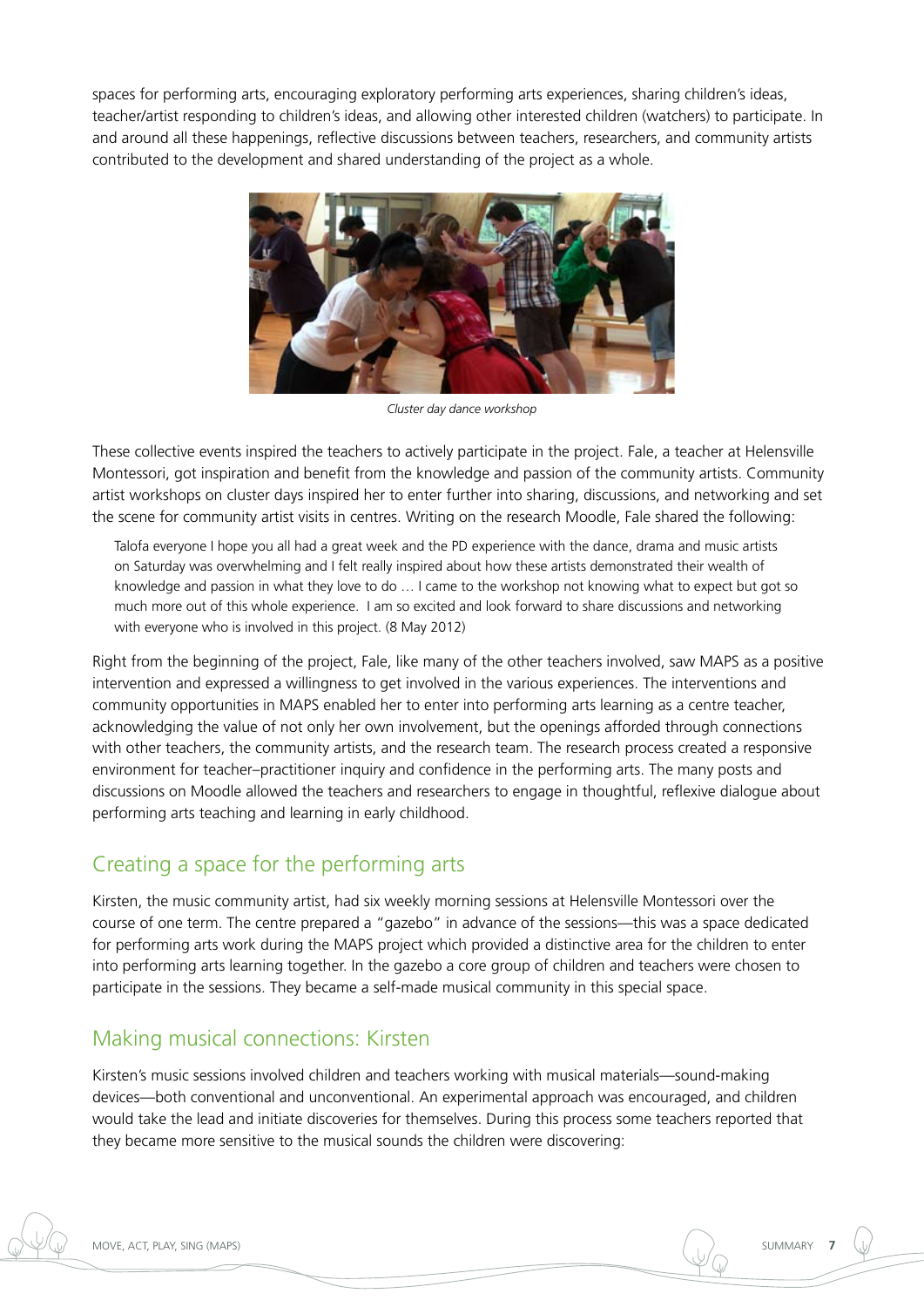spaces for performing arts, encouraging exploratory performing arts experiences, sharing children's ideas, teacher/artist responding to children's ideas, and allowing other interested children (watchers) to participate. In and around all these happenings, reflective discussions between teachers, researchers, and community artists contributed to the development and shared understanding of the project as a whole.



*Cluster day dance workshop*

These collective events inspired the teachers to actively participate in the project. Fale, a teacher at Helensville Montessori, got inspiration and benefit from the knowledge and passion of the community artists. Community artist workshops on cluster days inspired her to enter further into sharing, discussions, and networking and set the scene for community artist visits in centres. Writing on the research Moodle, Fale shared the following:

Talofa everyone I hope you all had a great week and the PD experience with the dance, drama and music artists on Saturday was overwhelming and I felt really inspired about how these artists demonstrated their wealth of knowledge and passion in what they love to do … I came to the workshop not knowing what to expect but got so much more out of this whole experience. I am so excited and look forward to share discussions and networking with everyone who is involved in this project. (8 May 2012)

Right from the beginning of the project, Fale, like many of the other teachers involved, saw MAPS as a positive intervention and expressed a willingness to get involved in the various experiences. The interventions and community opportunities in MAPS enabled her to enter into performing arts learning as a centre teacher, acknowledging the value of not only her own involvement, but the openings afforded through connections with other teachers, the community artists, and the research team. The research process created a responsive environment for teacher–practitioner inquiry and confidence in the performing arts. The many posts and discussions on Moodle allowed the teachers and researchers to engage in thoughtful, reflexive dialogue about performing arts teaching and learning in early childhood.

### Creating a space for the performing arts

Kirsten, the music community artist, had six weekly morning sessions at Helensville Montessori over the course of one term. The centre prepared a "gazebo" in advance of the sessions—this was a space dedicated for performing arts work during the MAPS project which provided a distinctive area for the children to enter into performing arts learning together. In the gazebo a core group of children and teachers were chosen to participate in the sessions. They became a self-made musical community in this special space.

## Making musical connections: Kirsten

Kirsten's music sessions involved children and teachers working with musical materials—sound-making devices—both conventional and unconventional. An experimental approach was encouraged, and children would take the lead and initiate discoveries for themselves. During this process some teachers reported that they became more sensitive to the musical sounds the children were discovering: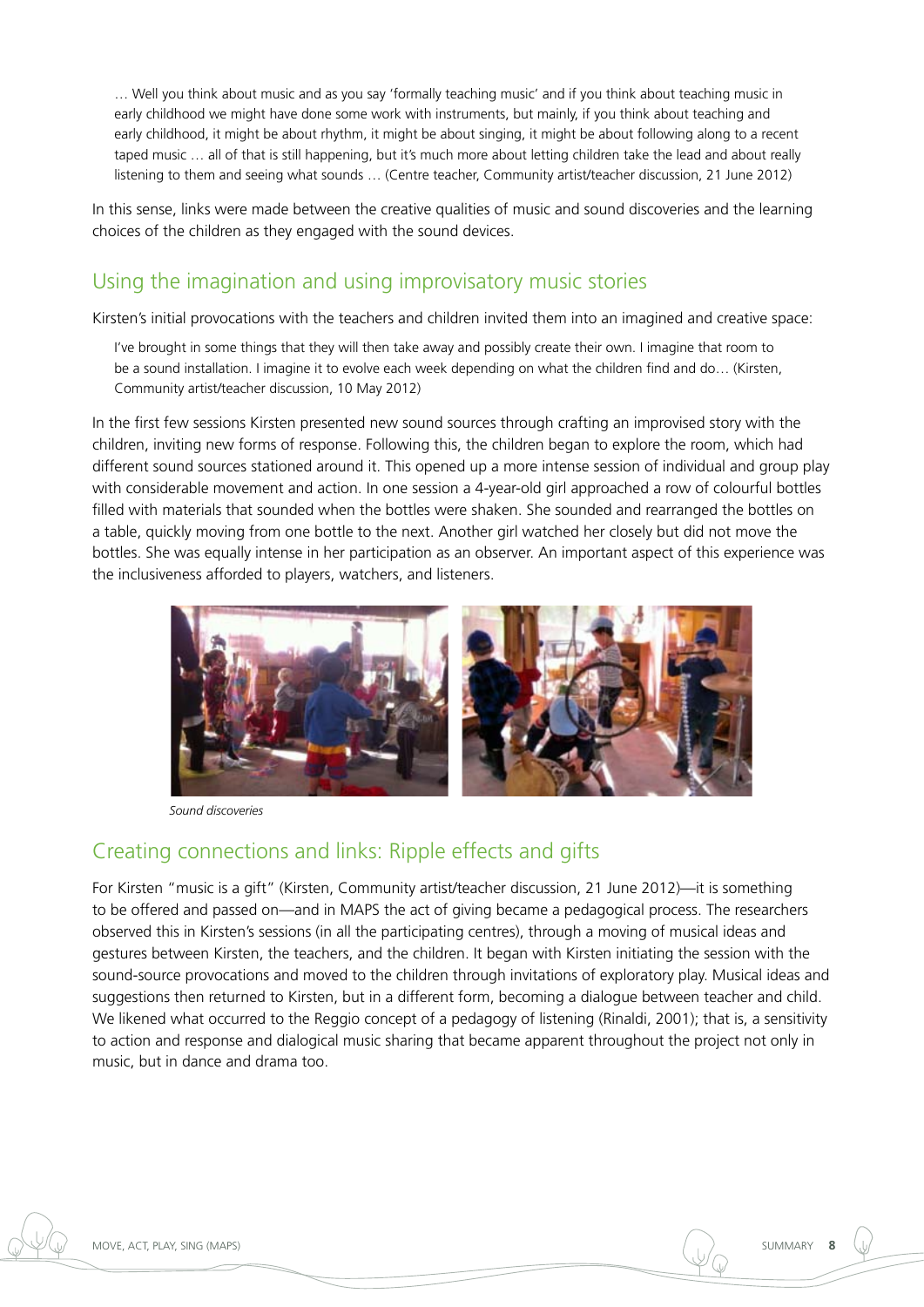… Well you think about music and as you say 'formally teaching music' and if you think about teaching music in early childhood we might have done some work with instruments, but mainly, if you think about teaching and early childhood, it might be about rhythm, it might be about singing, it might be about following along to a recent taped music … all of that is still happening, but it's much more about letting children take the lead and about really listening to them and seeing what sounds … (Centre teacher, Community artist/teacher discussion, 21 June 2012)

In this sense, links were made between the creative qualities of music and sound discoveries and the learning choices of the children as they engaged with the sound devices.

### Using the imagination and using improvisatory music stories

Kirsten's initial provocations with the teachers and children invited them into an imagined and creative space:

I've brought in some things that they will then take away and possibly create their own. I imagine that room to be a sound installation. I imagine it to evolve each week depending on what the children find and do… (Kirsten, Community artist/teacher discussion, 10 May 2012)

In the first few sessions Kirsten presented new sound sources through crafting an improvised story with the children, inviting new forms of response. Following this, the children began to explore the room, which had different sound sources stationed around it. This opened up a more intense session of individual and group play with considerable movement and action. In one session a 4-year-old girl approached a row of colourful bottles filled with materials that sounded when the bottles were shaken. She sounded and rearranged the bottles on a table, quickly moving from one bottle to the next. Another girl watched her closely but did not move the bottles. She was equally intense in her participation as an observer. An important aspect of this experience was the inclusiveness afforded to players, watchers, and listeners.



*Sound discoveries*

## Creating connections and links: Ripple effects and gifts

For Kirsten "music is a gift" (Kirsten, Community artist/teacher discussion, 21 June 2012)—it is something to be offered and passed on—and in MAPS the act of giving became a pedagogical process. The researchers observed this in Kirsten's sessions (in all the participating centres), through a moving of musical ideas and gestures between Kirsten, the teachers, and the children. It began with Kirsten initiating the session with the sound-source provocations and moved to the children through invitations of exploratory play. Musical ideas and suggestions then returned to Kirsten, but in a different form, becoming a dialogue between teacher and child. We likened what occurred to the Reggio concept of a pedagogy of listening (Rinaldi, 2001); that is, a sensitivity to action and response and dialogical music sharing that became apparent throughout the project not only in music, but in dance and drama too.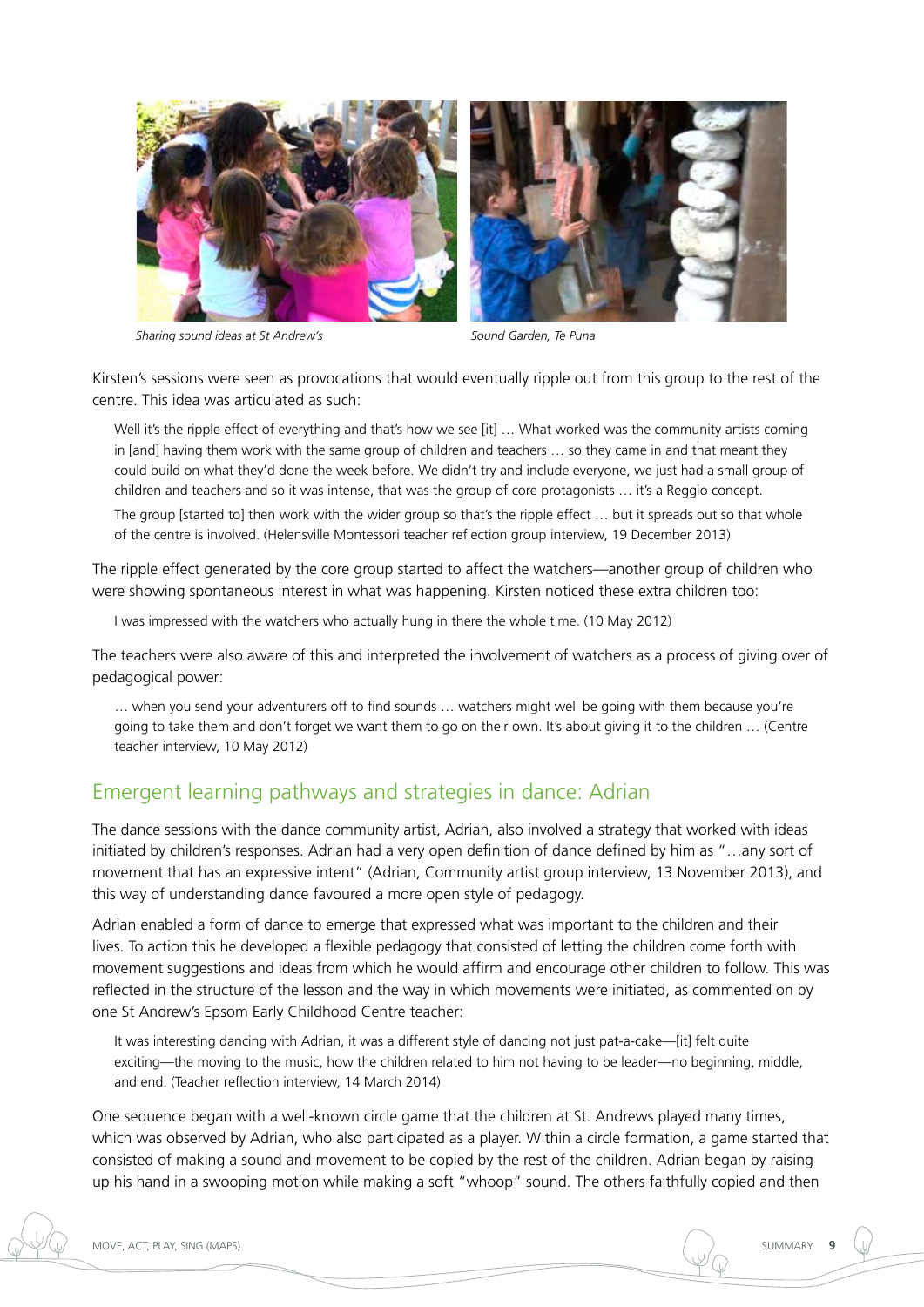



Kirsten's sessions were seen as provocations that would eventually ripple out from this group to the rest of the centre. This idea was articulated as such:

Well it's the ripple effect of everything and that's how we see [it] ... What worked was the community artists coming in [and] having them work with the same group of children and teachers … so they came in and that meant they could build on what they'd done the week before. We didn't try and include everyone, we just had a small group of children and teachers and so it was intense, that was the group of core protagonists … it's a Reggio concept.

The group [started to] then work with the wider group so that's the ripple effect … but it spreads out so that whole of the centre is involved. (Helensville Montessori teacher reflection group interview, 19 December 2013)

The ripple effect generated by the core group started to affect the watchers—another group of children who were showing spontaneous interest in what was happening. Kirsten noticed these extra children too:

I was impressed with the watchers who actually hung in there the whole time. (10 May 2012)

The teachers were also aware of this and interpreted the involvement of watchers as a process of giving over of pedagogical power:

… when you send your adventurers off to find sounds … watchers might well be going with them because you're going to take them and don't forget we want them to go on their own. It's about giving it to the children … (Centre teacher interview, 10 May 2012)

#### Emergent learning pathways and strategies in dance: Adrian

The dance sessions with the dance community artist, Adrian, also involved a strategy that worked with ideas initiated by children's responses. Adrian had a very open definition of dance defined by him as "…any sort of movement that has an expressive intent" (Adrian, Community artist group interview, 13 November 2013), and this way of understanding dance favoured a more open style of pedagogy.

Adrian enabled a form of dance to emerge that expressed what was important to the children and their lives. To action this he developed a flexible pedagogy that consisted of letting the children come forth with movement suggestions and ideas from which he would affirm and encourage other children to follow. This was reflected in the structure of the lesson and the way in which movements were initiated, as commented on by one St Andrew's Epsom Early Childhood Centre teacher:

It was interesting dancing with Adrian, it was a different style of dancing not just pat-a-cake—[it] felt quite exciting—the moving to the music, how the children related to him not having to be leader—no beginning, middle, and end. (Teacher reflection interview, 14 March 2014)

One sequence began with a well-known circle game that the children at St. Andrews played many times, which was observed by Adrian, who also participated as a player. Within a circle formation, a game started that consisted of making a sound and movement to be copied by the rest of the children. Adrian began by raising up his hand in a swooping motion while making a soft "whoop" sound. The others faithfully copied and then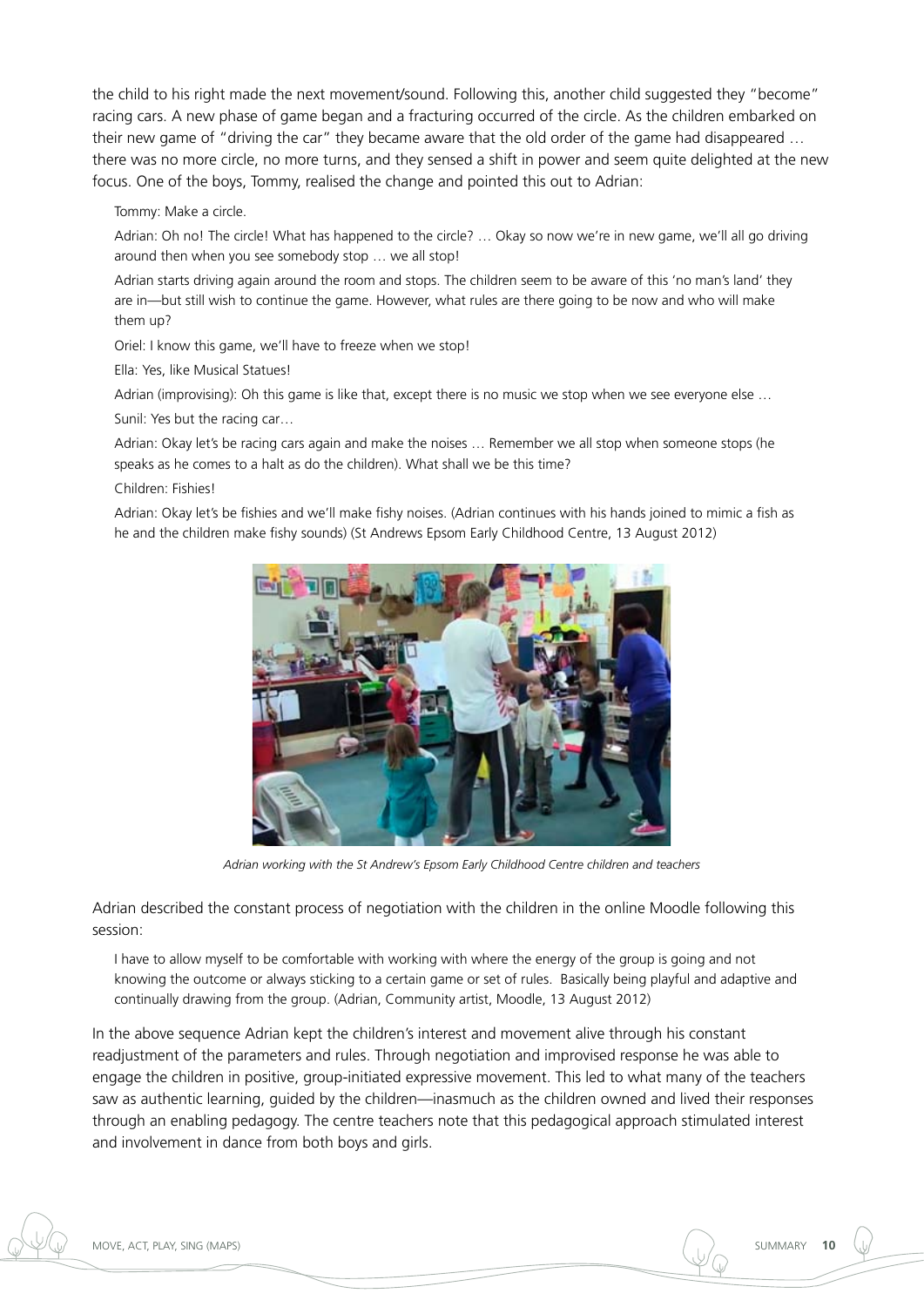the child to his right made the next movement/sound. Following this, another child suggested they "become" racing cars. A new phase of game began and a fracturing occurred of the circle. As the children embarked on their new game of "driving the car" they became aware that the old order of the game had disappeared … there was no more circle, no more turns, and they sensed a shift in power and seem quite delighted at the new focus. One of the boys, Tommy, realised the change and pointed this out to Adrian:

Tommy: Make a circle.

Adrian: Oh no! The circle! What has happened to the circle? … Okay so now we're in new game, we'll all go driving around then when you see somebody stop … we all stop!

Adrian starts driving again around the room and stops. The children seem to be aware of this 'no man's land' they are in—but still wish to continue the game. However, what rules are there going to be now and who will make them up?

Oriel: I know this game, we'll have to freeze when we stop!

Ella: Yes, like Musical Statues!

Adrian (improvising): Oh this game is like that, except there is no music we stop when we see everyone else …

Sunil: Yes but the racing car…

Adrian: Okay let's be racing cars again and make the noises … Remember we all stop when someone stops (he speaks as he comes to a halt as do the children). What shall we be this time?

Children: Fishies!

Adrian: Okay let's be fishies and we'll make fishy noises. (Adrian continues with his hands joined to mimic a fish as he and the children make fishy sounds) (St Andrews Epsom Early Childhood Centre, 13 August 2012)



*Adrian working with the St Andrew's Epsom Early Childhood Centre children and teachers*

Adrian described the constant process of negotiation with the children in the online Moodle following this session:

I have to allow myself to be comfortable with working with where the energy of the group is going and not knowing the outcome or always sticking to a certain game or set of rules. Basically being playful and adaptive and continually drawing from the group. (Adrian, Community artist, Moodle, 13 August 2012)

In the above sequence Adrian kept the children's interest and movement alive through his constant readjustment of the parameters and rules. Through negotiation and improvised response he was able to engage the children in positive, group-initiated expressive movement. This led to what many of the teachers saw as authentic learning, guided by the children—inasmuch as the children owned and lived their responses through an enabling pedagogy. The centre teachers note that this pedagogical approach stimulated interest and involvement in dance from both boys and girls.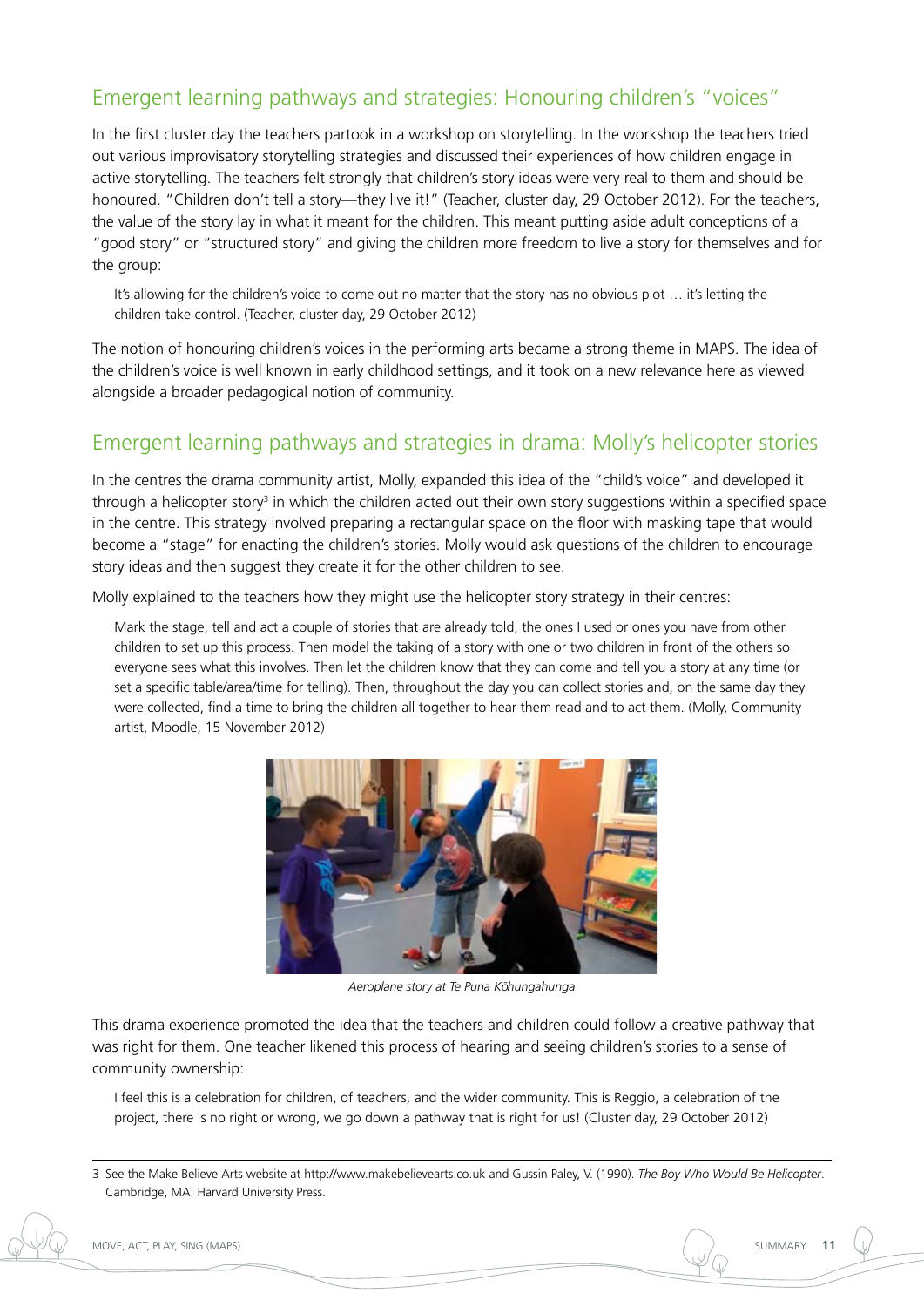## Emergent learning pathways and strategies: Honouring children's "voices"

In the first cluster day the teachers partook in a workshop on storytelling. In the workshop the teachers tried out various improvisatory storytelling strategies and discussed their experiences of how children engage in active storytelling. The teachers felt strongly that children's story ideas were very real to them and should be honoured. "Children don't tell a story—they live it!" (Teacher, cluster day, 29 October 2012). For the teachers, the value of the story lay in what it meant for the children. This meant putting aside adult conceptions of a "good story" or "structured story" and giving the children more freedom to live a story for themselves and for the group:

It's allowing for the children's voice to come out no matter that the story has no obvious plot … it's letting the children take control. (Teacher, cluster day, 29 October 2012)

The notion of honouring children's voices in the performing arts became a strong theme in MAPS. The idea of the children's voice is well known in early childhood settings, and it took on a new relevance here as viewed alongside a broader pedagogical notion of community.

## Emergent learning pathways and strategies in drama: Molly's helicopter stories

In the centres the drama community artist, Molly, expanded this idea of the "child's voice" and developed it through a helicopter story<sup>3</sup> in which the children acted out their own story suggestions within a specified space in the centre. This strategy involved preparing a rectangular space on the floor with masking tape that would become a "stage" for enacting the children's stories. Molly would ask questions of the children to encourage story ideas and then suggest they create it for the other children to see.

Molly explained to the teachers how they might use the helicopter story strategy in their centres:

Mark the stage, tell and act a couple of stories that are already told, the ones I used or ones you have from other children to set up this process. Then model the taking of a story with one or two children in front of the others so everyone sees what this involves. Then let the children know that they can come and tell you a story at any time (or set a specific table/area/time for telling). Then, throughout the day you can collect stories and, on the same day they were collected, find a time to bring the children all together to hear them read and to act them. (Molly, Community artist, Moodle, 15 November 2012)



Aeroplane story at Te Puna Kōhungahunga

This drama experience promoted the idea that the teachers and children could follow a creative pathway that was right for them. One teacher likened this process of hearing and seeing children's stories to a sense of community ownership:

I feel this is a celebration for children, of teachers, and the wider community. This is Reggio, a celebration of the project, there is no right or wrong, we go down a pathway that is right for us! (Cluster day, 29 October 2012)



<sup>3</sup> See the Make Believe Arts website at<http://www.makebelievearts.co.uk>and Gussin Paley, V. (1990). *The Boy Who Would Be Helicopter*. Cambridge, MA: Harvard University Press.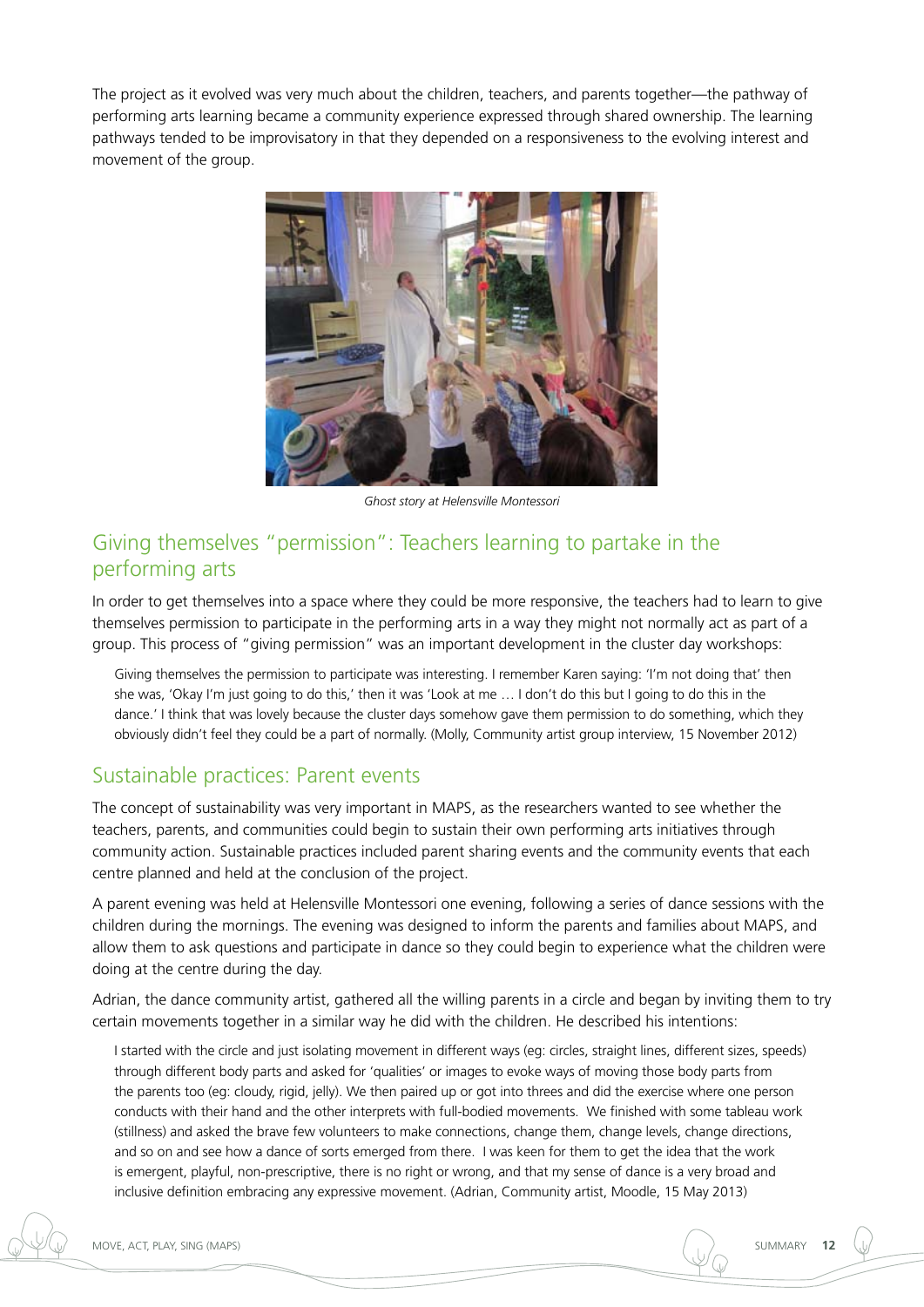The project as it evolved was very much about the children, teachers, and parents together—the pathway of performing arts learning became a community experience expressed through shared ownership. The learning pathways tended to be improvisatory in that they depended on a responsiveness to the evolving interest and movement of the group.



*Ghost story at Helensville Montessori*

### Giving themselves "permission": Teachers learning to partake in the performing arts

In order to get themselves into a space where they could be more responsive, the teachers had to learn to give themselves permission to participate in the performing arts in a way they might not normally act as part of a group. This process of "giving permission" was an important development in the cluster day workshops:

Giving themselves the permission to participate was interesting. I remember Karen saying: 'I'm not doing that' then she was, 'Okay I'm just going to do this,' then it was 'Look at me … I don't do this but I going to do this in the dance.' I think that was lovely because the cluster days somehow gave them permission to do something, which they obviously didn't feel they could be a part of normally. (Molly, Community artist group interview, 15 November 2012)

#### Sustainable practices: Parent events

The concept of sustainability was very important in MAPS, as the researchers wanted to see whether the teachers, parents, and communities could begin to sustain their own performing arts initiatives through community action. Sustainable practices included parent sharing events and the community events that each centre planned and held at the conclusion of the project.

A parent evening was held at Helensville Montessori one evening, following a series of dance sessions with the children during the mornings. The evening was designed to inform the parents and families about MAPS, and allow them to ask questions and participate in dance so they could begin to experience what the children were doing at the centre during the day.

Adrian, the dance community artist, gathered all the willing parents in a circle and began by inviting them to try certain movements together in a similar way he did with the children. He described his intentions:

I started with the circle and just isolating movement in different ways (eg: circles, straight lines, different sizes, speeds) through different body parts and asked for 'qualities' or images to evoke ways of moving those body parts from the parents too (eg: cloudy, rigid, jelly). We then paired up or got into threes and did the exercise where one person conducts with their hand and the other interprets with full-bodied movements. We finished with some tableau work (stillness) and asked the brave few volunteers to make connections, change them, change levels, change directions, and so on and see how a dance of sorts emerged from there. I was keen for them to get the idea that the work is emergent, playful, non-prescriptive, there is no right or wrong, and that my sense of dance is a very broad and inclusive definition embracing any expressive movement. (Adrian, Community artist, Moodle, 15 May 2013)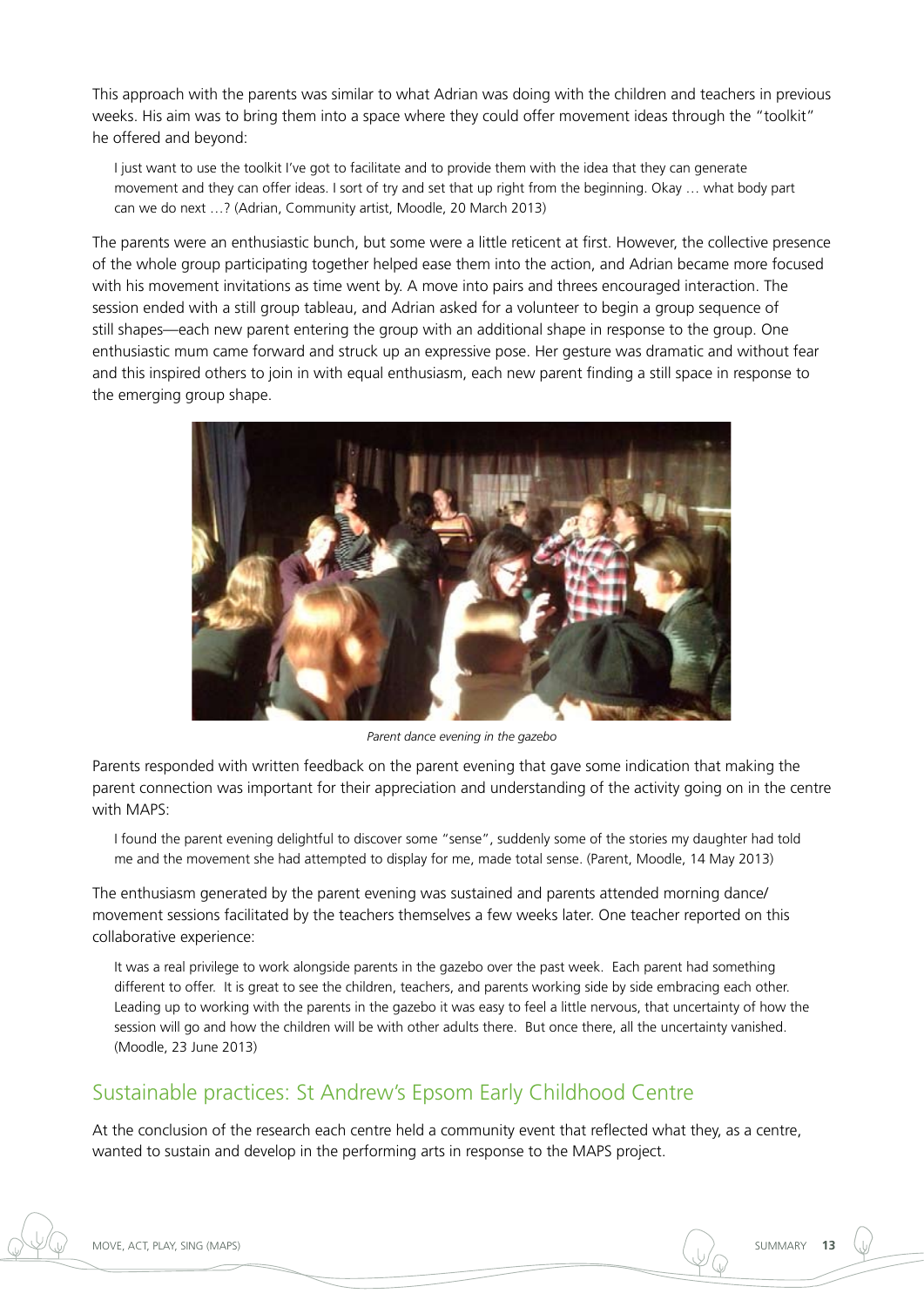This approach with the parents was similar to what Adrian was doing with the children and teachers in previous weeks. His aim was to bring them into a space where they could offer movement ideas through the "toolkit" he offered and beyond:

I just want to use the toolkit I've got to facilitate and to provide them with the idea that they can generate movement and they can offer ideas. I sort of try and set that up right from the beginning. Okay … what body part can we do next …? (Adrian, Community artist, Moodle, 20 March 2013)

The parents were an enthusiastic bunch, but some were a little reticent at first. However, the collective presence of the whole group participating together helped ease them into the action, and Adrian became more focused with his movement invitations as time went by. A move into pairs and threes encouraged interaction. The session ended with a still group tableau, and Adrian asked for a volunteer to begin a group sequence of still shapes—each new parent entering the group with an additional shape in response to the group. One enthusiastic mum came forward and struck up an expressive pose. Her gesture was dramatic and without fear and this inspired others to join in with equal enthusiasm, each new parent finding a still space in response to the emerging group shape.



*Parent dance evening in the gazebo*

Parents responded with written feedback on the parent evening that gave some indication that making the parent connection was important for their appreciation and understanding of the activity going on in the centre with MAPS:

I found the parent evening delightful to discover some "sense", suddenly some of the stories my daughter had told me and the movement she had attempted to display for me, made total sense. (Parent, Moodle, 14 May 2013)

The enthusiasm generated by the parent evening was sustained and parents attended morning dance/ movement sessions facilitated by the teachers themselves a few weeks later. One teacher reported on this collaborative experience:

It was a real privilege to work alongside parents in the gazebo over the past week. Each parent had something different to offer. It is great to see the children, teachers, and parents working side by side embracing each other. Leading up to working with the parents in the gazebo it was easy to feel a little nervous, that uncertainty of how the session will go and how the children will be with other adults there. But once there, all the uncertainty vanished. (Moodle, 23 June 2013)

## Sustainable practices: St Andrew's Epsom Early Childhood Centre

At the conclusion of the research each centre held a community event that reflected what they, as a centre, wanted to sustain and develop in the performing arts in response to the MAPS project.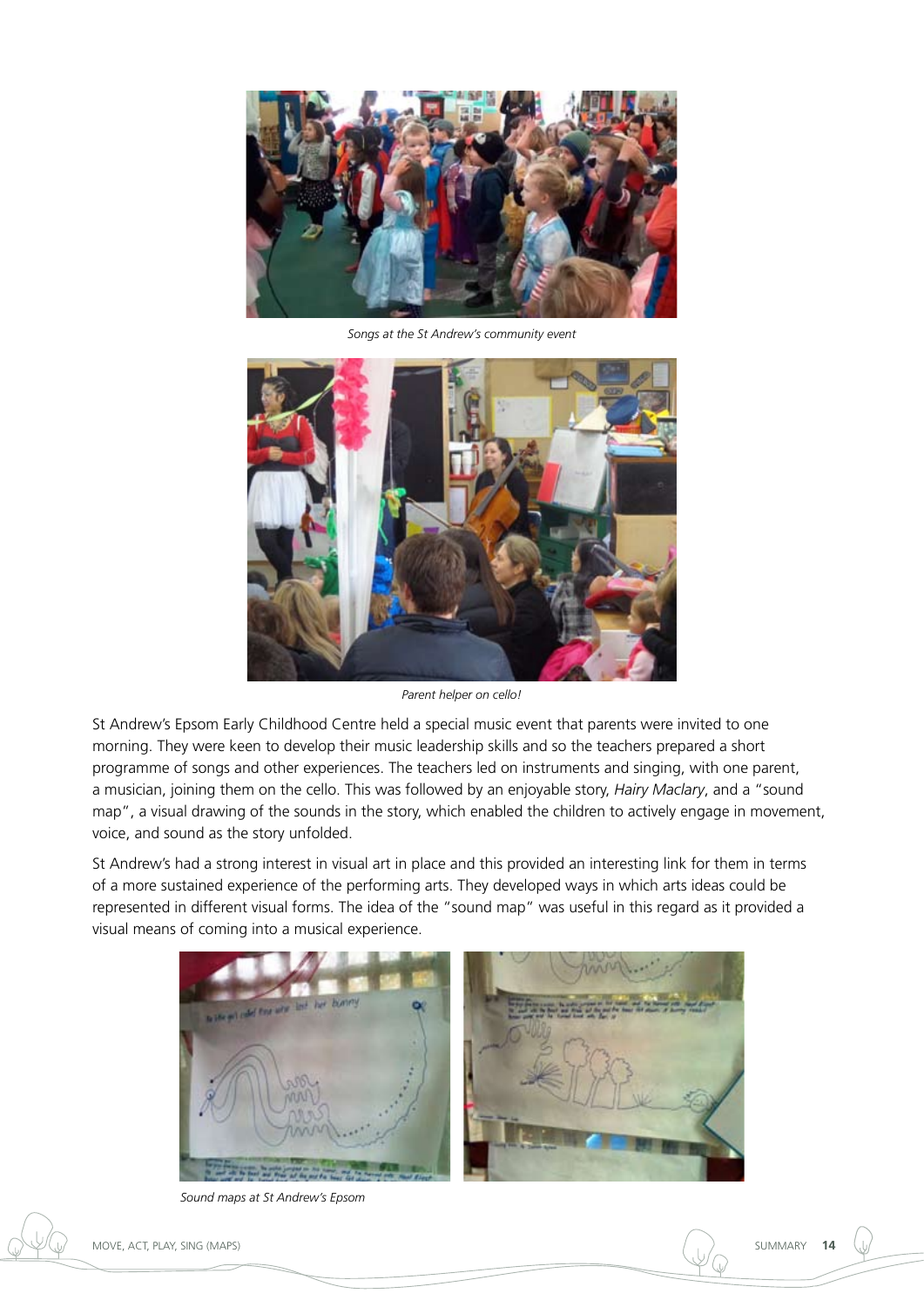

*Songs at the St Andrew's community event*



*Parent helper on cello!*

St Andrew's Epsom Early Childhood Centre held a special music event that parents were invited to one morning. They were keen to develop their music leadership skills and so the teachers prepared a short programme of songs and other experiences. The teachers led on instruments and singing, with one parent, a musician, joining them on the cello. This was followed by an enjoyable story, *Hairy Maclary*, and a "sound map", a visual drawing of the sounds in the story, which enabled the children to actively engage in movement, voice, and sound as the story unfolded.

St Andrew's had a strong interest in visual art in place and this provided an interesting link for them in terms of a more sustained experience of the performing arts. They developed ways in which arts ideas could be represented in different visual forms. The idea of the "sound map" was useful in this regard as it provided a visual means of coming into a musical experience.



*Sound maps at St Andrew's Epsom*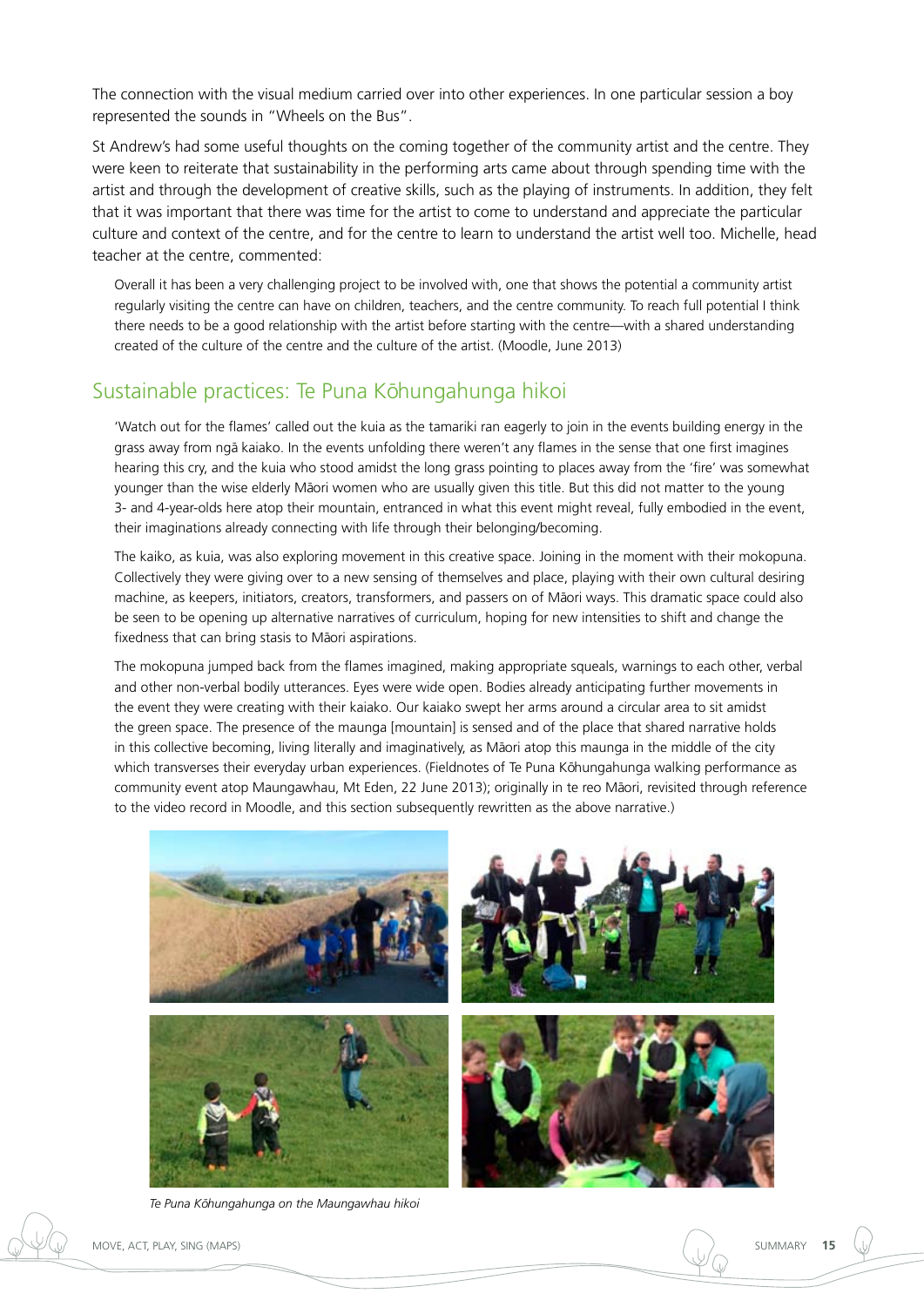The connection with the visual medium carried over into other experiences. In one particular session a boy represented the sounds in "Wheels on the Bus".

St Andrew's had some useful thoughts on the coming together of the community artist and the centre. They were keen to reiterate that sustainability in the performing arts came about through spending time with the artist and through the development of creative skills, such as the playing of instruments. In addition, they felt that it was important that there was time for the artist to come to understand and appreciate the particular culture and context of the centre, and for the centre to learn to understand the artist well too. Michelle, head teacher at the centre, commented:

Overall it has been a very challenging project to be involved with, one that shows the potential a community artist regularly visiting the centre can have on children, teachers, and the centre community. To reach full potential I think there needs to be a good relationship with the artist before starting with the centre—with a shared understanding created of the culture of the centre and the culture of the artist. (Moodle, June 2013)

#### Sustainable practices: Te Puna Kōhungahunga hikoi

'Watch out for the flames' called out the kuia as the tamariki ran eagerly to join in the events building energy in the grass away from ngā kaiako. In the events unfolding there weren't any flames in the sense that one first imagines hearing this cry, and the kuia who stood amidst the long grass pointing to places away from the 'fire' was somewhat younger than the wise elderly Māori women who are usually given this title. But this did not matter to the young 3- and 4-year-olds here atop their mountain, entranced in what this event might reveal, fully embodied in the event, their imaginations already connecting with life through their belonging/becoming.

The kaiko, as kuia, was also exploring movement in this creative space. Joining in the moment with their mokopuna. Collectively they were giving over to a new sensing of themselves and place, playing with their own cultural desiring machine, as keepers, initiators, creators, transformers, and passers on of Māori ways. This dramatic space could also be seen to be opening up alternative narratives of curriculum, hoping for new intensities to shift and change the fixedness that can bring stasis to Māori aspirations.

The mokopuna jumped back from the flames imagined, making appropriate squeals, warnings to each other, verbal and other non-verbal bodily utterances. Eyes were wide open. Bodies already anticipating further movements in the event they were creating with their kaiako. Our kaiako swept her arms around a circular area to sit amidst the green space. The presence of the maunga [mountain] is sensed and of the place that shared narrative holds in this collective becoming, living literally and imaginatively, as Māori atop this maunga in the middle of the city which transverses their everyday urban experiences. (Fieldnotes of Te Puna Kōhungahunga walking performance as community event atop Maungawhau, Mt Eden, 22 June 2013); originally in te reo Māori, revisited through reference to the video record in Moodle, and this section subsequently rewritten as the above narrative.)



Te Puna Kōhungahunga on the Maungawhau hikoi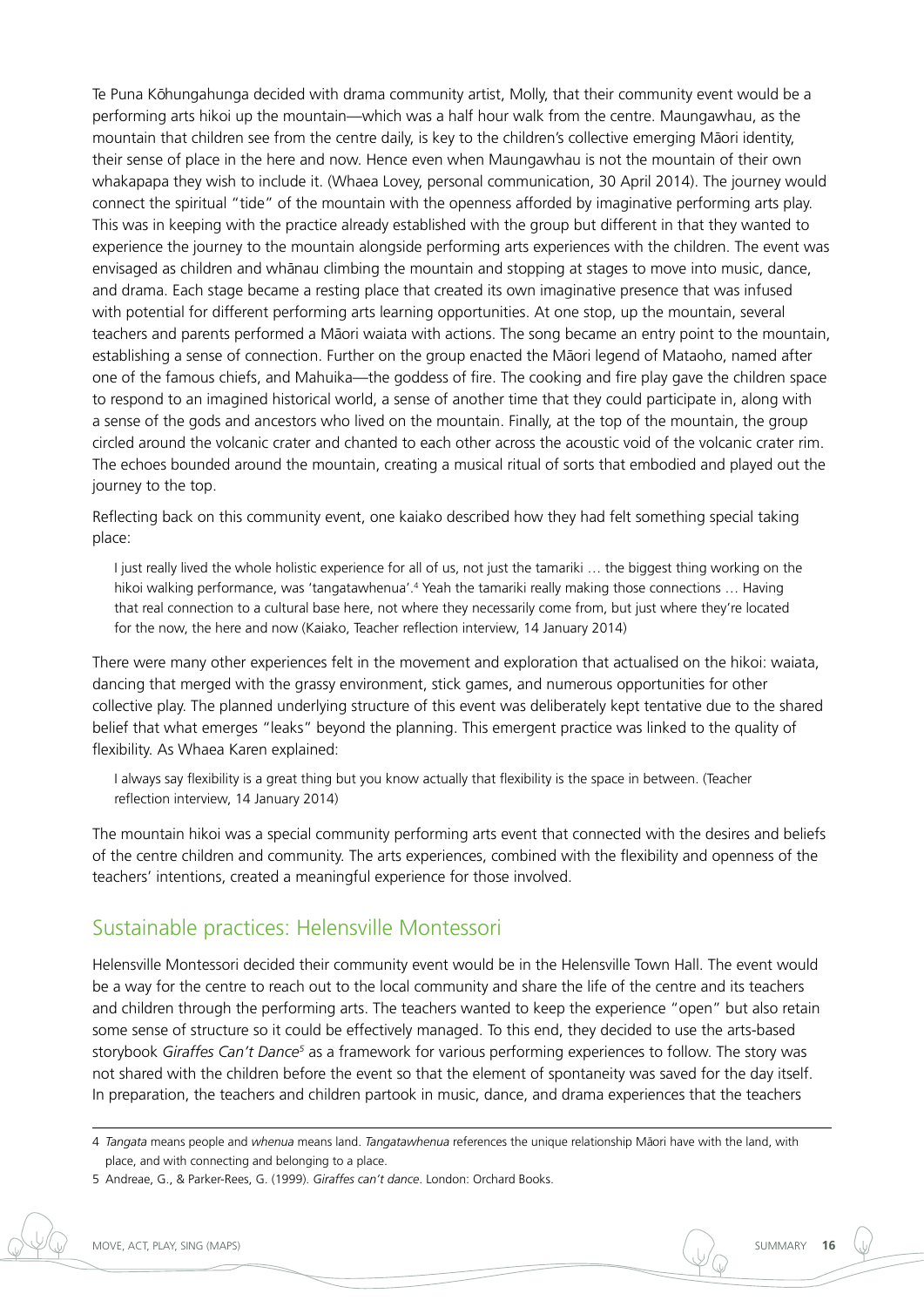Te Puna Kōhungahunga decided with drama community artist, Molly, that their community event would be a performing arts hikoi up the mountain—which was a half hour walk from the centre. Maungawhau, as the mountain that children see from the centre daily, is key to the children's collective emerging Māori identity, their sense of place in the here and now. Hence even when Maungawhau is not the mountain of their own whakapapa they wish to include it. (Whaea Lovey, personal communication, 30 April 2014). The journey would connect the spiritual "tide" of the mountain with the openness afforded by imaginative performing arts play. This was in keeping with the practice already established with the group but different in that they wanted to experience the journey to the mountain alongside performing arts experiences with the children. The event was envisaged as children and whānau climbing the mountain and stopping at stages to move into music, dance, and drama. Each stage became a resting place that created its own imaginative presence that was infused with potential for different performing arts learning opportunities. At one stop, up the mountain, several teachers and parents performed a Māori waiata with actions. The song became an entry point to the mountain, establishing a sense of connection. Further on the group enacted the Māori legend of Mataoho, named after one of the famous chiefs, and Mahuika—the goddess of fire. The cooking and fire play gave the children space to respond to an imagined historical world, a sense of another time that they could participate in, along with a sense of the gods and ancestors who lived on the mountain. Finally, at the top of the mountain, the group circled around the volcanic crater and chanted to each other across the acoustic void of the volcanic crater rim. The echoes bounded around the mountain, creating a musical ritual of sorts that embodied and played out the journey to the top.

Reflecting back on this community event, one kaiako described how they had felt something special taking place:

I just really lived the whole holistic experience for all of us, not just the tamariki … the biggest thing working on the hikoi walking performance, was 'tangatawhenua'.<sup>4</sup> Yeah the tamariki really making those connections ... Having that real connection to a cultural base here, not where they necessarily come from, but just where they're located for the now, the here and now (Kaiako, Teacher reflection interview, 14 January 2014)

There were many other experiences felt in the movement and exploration that actualised on the hikoi: waiata, dancing that merged with the grassy environment, stick games, and numerous opportunities for other collective play. The planned underlying structure of this event was deliberately kept tentative due to the shared belief that what emerges "leaks" beyond the planning. This emergent practice was linked to the quality of flexibility. As Whaea Karen explained:

I always say flexibility is a great thing but you know actually that flexibility is the space in between. (Teacher reflection interview, 14 January 2014)

The mountain hikoi was a special community performing arts event that connected with the desires and beliefs of the centre children and community. The arts experiences, combined with the flexibility and openness of the teachers' intentions, created a meaningful experience for those involved.

#### Sustainable practices: Helensville Montessori

Helensville Montessori decided their community event would be in the Helensville Town Hall. The event would be a way for the centre to reach out to the local community and share the life of the centre and its teachers and children through the performing arts. The teachers wanted to keep the experience "open" but also retain some sense of structure so it could be effectively managed. To this end, they decided to use the arts-based storybook *Giraffes Can't Dance5* as a framework for various performing experiences to follow. The story was not shared with the children before the event so that the element of spontaneity was saved for the day itself. In preparation, the teachers and children partook in music, dance, and drama experiences that the teachers

<sup>4</sup> *Tangata* means people and *whenua* means land. *Tangatawhenua* references the unique relationship Māori have with the land, with place, and with connecting and belonging to a place.

<sup>5</sup> Andreae, G., & Parker-Rees, G. (1999). *Giraffes can't dance*. London: Orchard Books.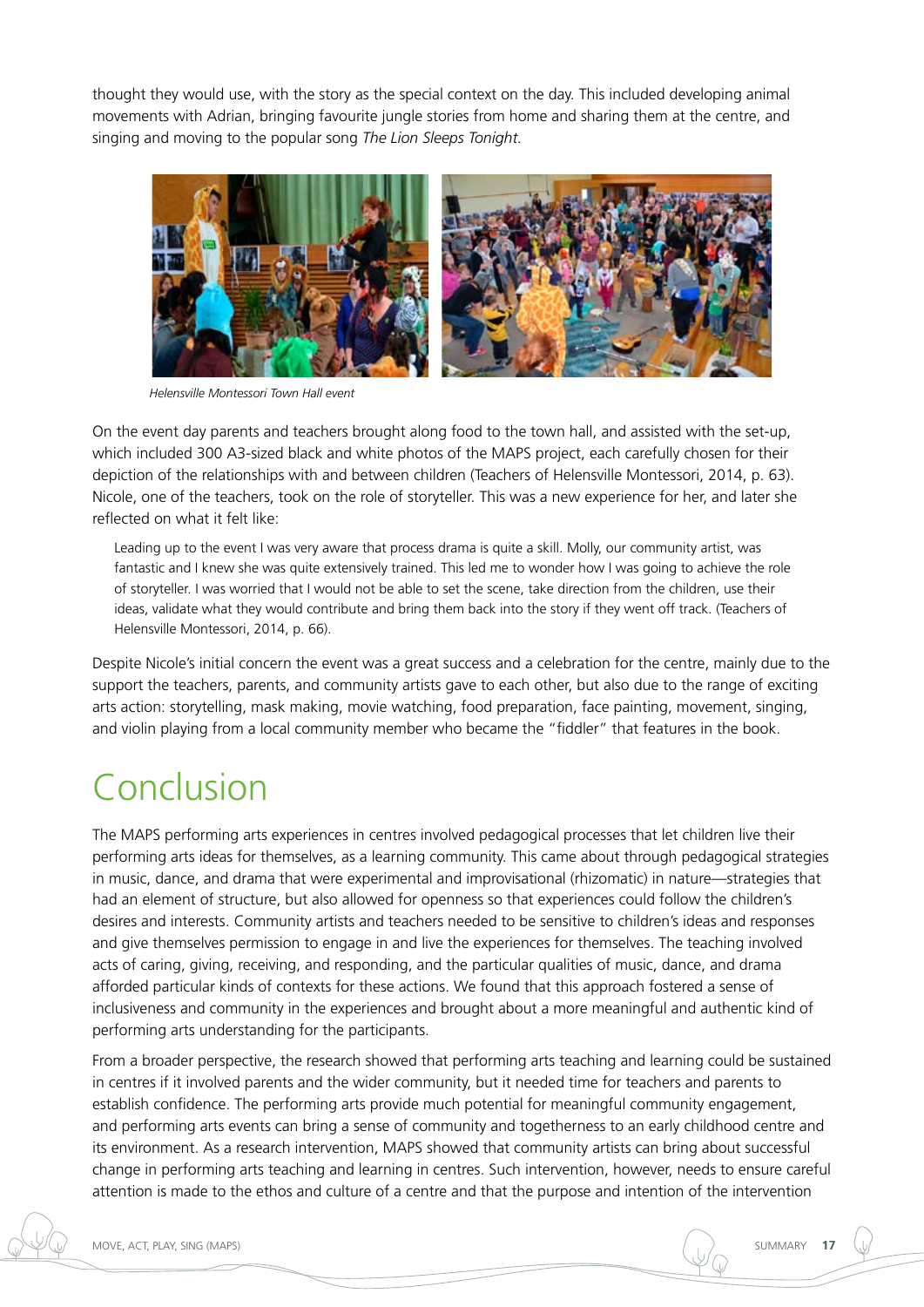thought they would use, with the story as the special context on the day. This included developing animal movements with Adrian, bringing favourite jungle stories from home and sharing them at the centre, and singing and moving to the popular song *The Lion Sleeps Tonight.*



*Helensville Montessori Town Hall event*

On the event day parents and teachers brought along food to the town hall, and assisted with the set-up, which included 300 A3-sized black and white photos of the MAPS project, each carefully chosen for their depiction of the relationships with and between children (Teachers of Helensville Montessori, 2014, p. 63). Nicole, one of the teachers, took on the role of storyteller. This was a new experience for her, and later she reflected on what it felt like:

Leading up to the event I was very aware that process drama is quite a skill. Molly, our community artist, was fantastic and I knew she was quite extensively trained. This led me to wonder how I was going to achieve the role of storyteller. I was worried that I would not be able to set the scene, take direction from the children, use their ideas, validate what they would contribute and bring them back into the story if they went off track. (Teachers of Helensville Montessori, 2014, p. 66).

Despite Nicole's initial concern the event was a great success and a celebration for the centre, mainly due to the support the teachers, parents, and community artists gave to each other, but also due to the range of exciting arts action: storytelling, mask making, movie watching, food preparation, face painting, movement, singing, and violin playing from a local community member who became the "fiddler" that features in the book.

# Conclusion

The MAPS performing arts experiences in centres involved pedagogical processes that let children live their performing arts ideas for themselves, as a learning community. This came about through pedagogical strategies in music, dance, and drama that were experimental and improvisational (rhizomatic) in nature—strategies that had an element of structure, but also allowed for openness so that experiences could follow the children's desires and interests. Community artists and teachers needed to be sensitive to children's ideas and responses and give themselves permission to engage in and live the experiences for themselves. The teaching involved acts of caring, giving, receiving, and responding, and the particular qualities of music, dance, and drama afforded particular kinds of contexts for these actions. We found that this approach fostered a sense of inclusiveness and community in the experiences and brought about a more meaningful and authentic kind of performing arts understanding for the participants.

From a broader perspective, the research showed that performing arts teaching and learning could be sustained in centres if it involved parents and the wider community, but it needed time for teachers and parents to establish confidence. The performing arts provide much potential for meaningful community engagement, and performing arts events can bring a sense of community and togetherness to an early childhood centre and its environment. As a research intervention, MAPS showed that community artists can bring about successful change in performing arts teaching and learning in centres. Such intervention, however, needs to ensure careful attention is made to the ethos and culture of a centre and that the purpose and intention of the intervention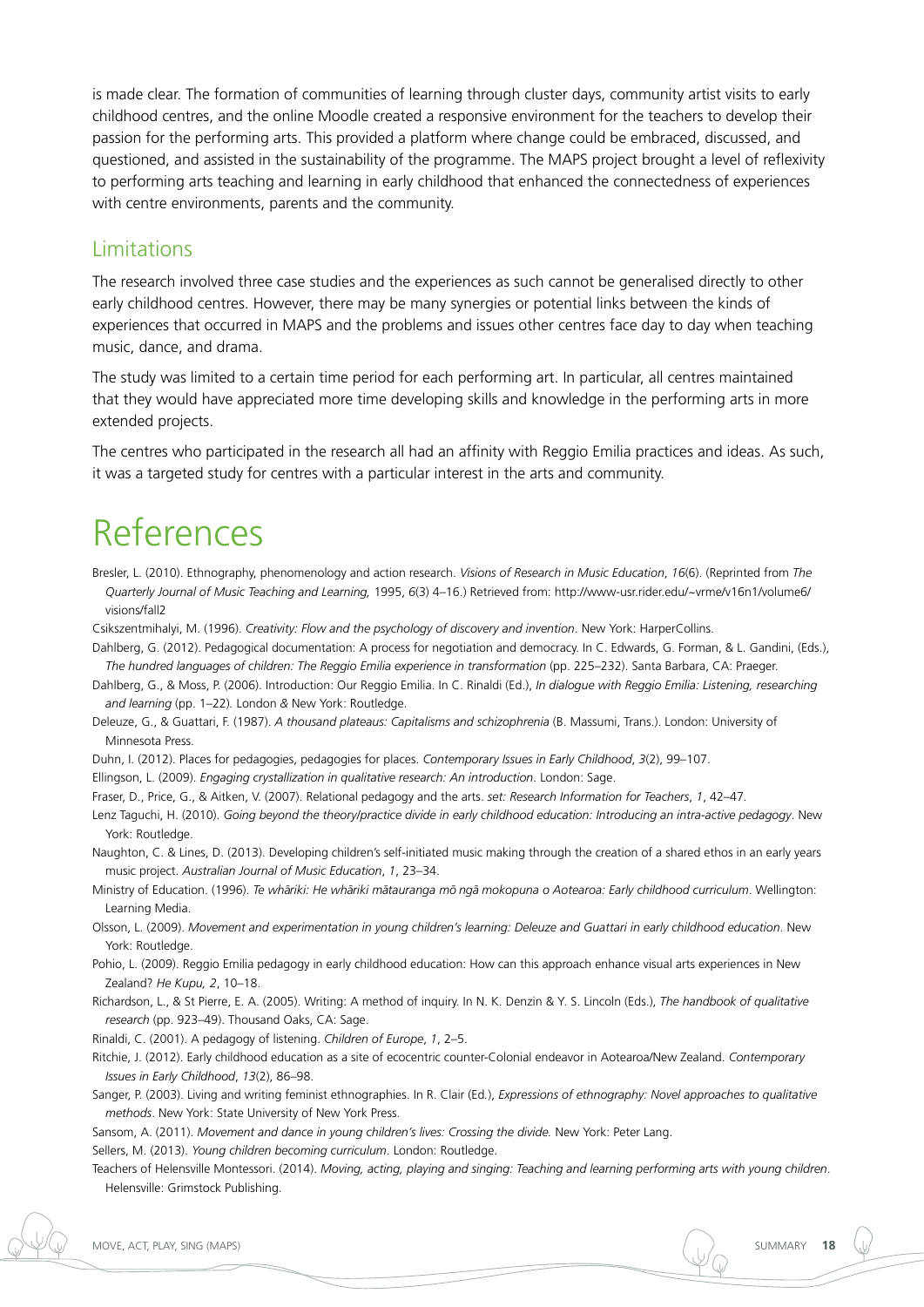is made clear. The formation of communities of learning through cluster days, community artist visits to early childhood centres, and the online Moodle created a responsive environment for the teachers to develop their passion for the performing arts. This provided a platform where change could be embraced, discussed, and questioned, and assisted in the sustainability of the programme. The MAPS project brought a level of reflexivity to performing arts teaching and learning in early childhood that enhanced the connectedness of experiences with centre environments, parents and the community.

#### Limitations

The research involved three case studies and the experiences as such cannot be generalised directly to other early childhood centres. However, there may be many synergies or potential links between the kinds of experiences that occurred in MAPS and the problems and issues other centres face day to day when teaching music, dance, and drama.

The study was limited to a certain time period for each performing art. In particular, all centres maintained that they would have appreciated more time developing skills and knowledge in the performing arts in more extended projects.

The centres who participated in the research all had an affinity with Reggio Emilia practices and ideas. As such, it was a targeted study for centres with a particular interest in the arts and community.

## References

Bresler, L. (2010). Ethnography, phenomenology and action research. *Visions of Research in Music Education*, *16*(6). (Reprinted from *The Quarterly Journal of Music Teaching and Learning,* 1995, *6*(3) 4–16.) Retrieved from: http://www-usr.rider.edu/~vrme/v16n1/volume6/ visions/fall2

Csikszentmihalyi, M. (1996). *Creativity: Flow and the psychology of discovery and invention*. New York: HarperCollins.

Dahlberg, G. (2012). Pedagogical documentation: A process for negotiation and democracy. In C. Edwards, G. Forman, & L. Gandini, (Eds.), *The hundred languages of children: The Reggio Emilia experience in transformation* (pp. 225–232). Santa Barbara, CA: Praeger.

Dahlberg, G., & Moss, P. (2006). Introduction: Our Reggio Emilia. In C. Rinaldi (Ed.), *In dialogue with Reggio Emilia: Listening, researching and learning* (pp. 1–22)*.* London *&* New York: Routledge.

Deleuze, G., & Guattari, F. (1987). *A thousand plateaus: Capitalisms and schizophrenia* (B. Massumi, Trans.). London: University of Minnesota Press.

Duhn, I. (2012). Places for pedagogies, pedagogies for places. *Contemporary Issues in Early Childhood*, *3*(2), 99–107.

Ellingson, L. (2009). *Engaging crystallization in qualitative research: An introduction*. London: Sage.

Fraser, D., Price, G., & Aitken, V. (2007). Relational pedagogy and the arts. *set: Research Information for Teachers*, *1*, 42–47*.*

Lenz Taguchi, H. (2010). *Going beyond the theory/practice divide in early childhood education: Introducing an intra-active pedagogy*. New York: Routledge.

Naughton, C. & Lines, D. (2013). Developing children's self-initiated music making through the creation of a shared ethos in an early years music project. *Australian Journal of Music Education*, *1*, 23–34.

Ministry of Education. (1996). *Te whāriki: He whāriki mātauranga mō ngā mokopuna o Aotearoa: Early childhood curriculum*. Wellington: Learning Media.

Olsson, L. (2009). *Movement and experimentation in young children's learning: Deleuze and Guattari in early childhood education*. New York: Routledge.

Pohio, L. (2009). Reggio Emilia pedagogy in early childhood education: How can this approach enhance visual arts experiences in New Zealand? *He Kupu, 2*, 10–18.

Richardson, L., & St Pierre, E. A. (2005). Writing: A method of inquiry. In N. K. Denzin & Y. S. Lincoln (Eds.), *The handbook of qualitative research* (pp. 923–49). Thousand Oaks, CA: Sage.

Rinaldi, C. (2001). A pedagogy of listening. *Children of Europe*, *1*, 2–5.

Ritchie, J. (2012). Early childhood education as a site of ecocentric counter-Colonial endeavor in Aotearoa/New Zealand. *Contemporary Issues in Early Childhood*, *13*(2), 86–98.

Sanger, P. (2003). Living and writing feminist ethnographies. In R. Clair (Ed*.*), *Expressions of ethnography: Novel approaches to qualitative methods*. New York: State University of New York Press.

Sansom, A. (2011). *Movement and dance in young children's lives: Crossing the divide.* New York: Peter Lang.

Sellers, M. (2013). *Young children becoming curriculum*. London: Routledge.

Teachers of Helensville Montessori. (2014). *Moving, acting, playing and singing: Teaching and learning performing arts with young children*. Helensville: Grimstock Publishing.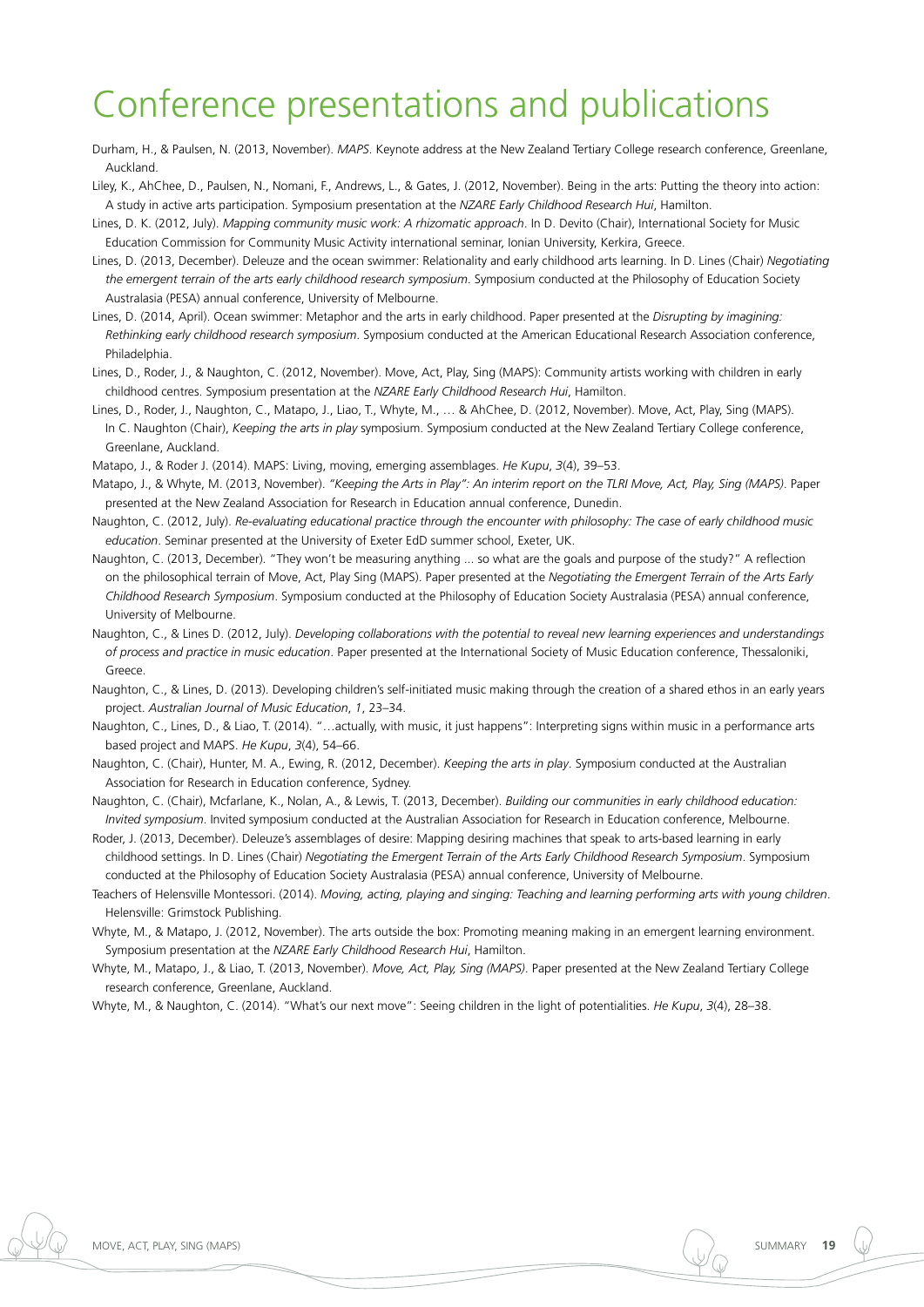## Conference presentations and publications

Durham, H., & Paulsen, N. (2013, November). *MAPS*. Keynote address at the New Zealand Tertiary College research conference, Greenlane, Auckland.

Liley, K., AhChee, D., Paulsen, N., Nomani, F., Andrews, L., & Gates, J. (2012, November). Being in the arts: Putting the theory into action: A study in active arts participation. Symposium presentation at the *NZARE Early Childhood Research Hui*, Hamilton.

- Lines, D. K. (2012, July). *Mapping community music work: A rhizomatic approach*. In D. Devito (Chair), International Society for Music Education Commission for Community Music Activity international seminar, Ionian University, Kerkira, Greece.
- Lines, D. (2013, December). Deleuze and the ocean swimmer: Relationality and early childhood arts learning. In D. Lines (Chair) *Negotiating the emergent terrain of the arts early childhood research symposium*. Symposium conducted at the Philosophy of Education Society Australasia (PESA) annual conference, University of Melbourne.
- Lines, D. (2014, April). Ocean swimmer: Metaphor and the arts in early childhood. Paper presented at the *Disrupting by imagining: Rethinking early childhood research symposium*. Symposium conducted at the American Educational Research Association conference, **Philadelphia**
- Lines, D., Roder, J., & Naughton, C. (2012, November). Move, Act, Play, Sing (MAPS): Community artists working with children in early childhood centres. Symposium presentation at the *NZARE Early Childhood Research Hui*, Hamilton.
- Lines, D., Roder, J., Naughton, C., Matapo, J., Liao, T., Whyte, M., … & AhChee, D. (2012, November). Move, Act, Play, Sing (MAPS). In C. Naughton (Chair), *Keeping the arts in play* symposium. Symposium conducted at the New Zealand Tertiary College conference, Greenlane, Auckland.

Matapo, J., & Roder J. (2014). MAPS: Living, moving, emerging assemblages. *He Kupu*, *3*(4), 39–53.

- Matapo, J., & Whyte, M. (2013, November). *"Keeping the Arts in Play": An interim report on the TLRI Move, Act, Play, Sing (MAPS)*. Paper presented at the New Zealand Association for Research in Education annual conference, Dunedin.
- Naughton, C. (2012, July). *Re-evaluating educational practice through the encounter with philosophy: The case of early childhood music education*. Seminar presented at the University of Exeter EdD summer school, Exeter, UK.
- Naughton, C. (2013, December). "They won't be measuring anything ... so what are the goals and purpose of the study?" A reflection on the philosophical terrain of Move, Act, Play Sing (MAPS). Paper presented at the *Negotiating the Emergent Terrain of the Arts Early Childhood Research Symposium*. Symposium conducted at the Philosophy of Education Society Australasia (PESA) annual conference, University of Melbourne.
- Naughton, C., & Lines D. (2012, July). *Developing collaborations with the potential to reveal new learning experiences and understandings of process and practice in music education*. Paper presented at the International Society of Music Education conference, Thessaloniki, Greece.
- Naughton, C., & Lines, D. (2013). Developing children's self-initiated music making through the creation of a shared ethos in an early years project. *Australian Journal of Music Education*, *1*, 23–34.
- Naughton, C., Lines, D., & Liao, T. (2014). "…actually, with music, it just happens": Interpreting signs within music in a performance arts based project and MAPS. *He Kupu*, *3*(4), 54–66.
- Naughton, C. (Chair), Hunter, M. A., Ewing, R. (2012, December). *Keeping the arts in play*. Symposium conducted at the Australian Association for Research in Education conference, Sydney.
- Naughton, C. (Chair), Mcfarlane, K., Nolan, A., & Lewis, T. (2013, December). *Building our communities in early childhood education: Invited symposium*. Invited symposium conducted at the Australian Association for Research in Education conference, Melbourne.
- Roder, J. (2013, December). Deleuze's assemblages of desire: Mapping desiring machines that speak to arts-based learning in early childhood settings. In D. Lines (Chair) *Negotiating the Emergent Terrain of the Arts Early Childhood Research Symposium*. Symposium conducted at the Philosophy of Education Society Australasia (PESA) annual conference, University of Melbourne.
- Teachers of Helensville Montessori. (2014). *Moving, acting, playing and singing: Teaching and learning performing arts with young children*. Helensville: Grimstock Publishing.
- Whyte, M., & Matapo, J. (2012, November). The arts outside the box: Promoting meaning making in an emergent learning environment. Symposium presentation at the *NZARE Early Childhood Research Hui*, Hamilton.
- Whyte, M., Matapo, J., & Liao, T. (2013, November). *Move, Act, Play, Sing (MAPS)*. Paper presented at the New Zealand Tertiary College research conference, Greenlane, Auckland.

Whyte, M., & Naughton, C. (2014). "What's our next move": Seeing children in the light of potentialities. *He Kupu*, *3*(4), 28–38.